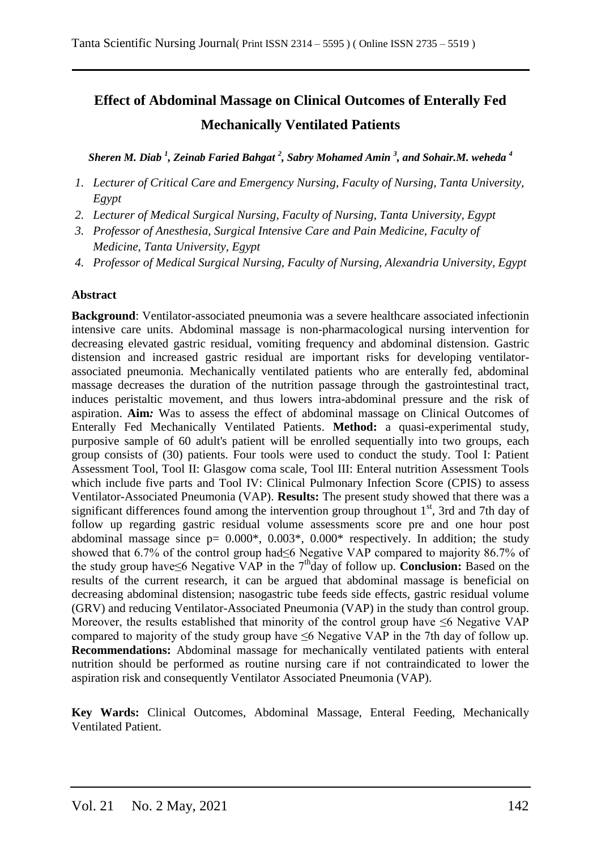# **Effect of Abdominal Massage on Clinical Outcomes of Enterally Fed Mechanically Ventilated Patients**

*Sheren M. Diab <sup>1</sup> , Zeinab Faried Bahgat <sup>2</sup> , Sabry Mohamed Amin <sup>3</sup> , and Sohair.M. weheda <sup>4</sup>*

- *1. Lecturer of Critical Care and Emergency Nursing, Faculty of Nursing, Tanta University, Egypt*
- *2. Lecturer of Medical Surgical Nursing, Faculty of Nursing, Tanta University, Egypt*
- *3. Professor of Anesthesia, Surgical Intensive Care and Pain Medicine, Faculty of Medicine, Tanta University, Egypt*
- *4. Professor of Medical Surgical Nursing, Faculty of Nursing, Alexandria University, Egypt*

### **Abstract**

**Background**: Ventilator-associated pneumonia was a severe healthcare associated infectionin intensive care units. Abdominal massage is non-pharmacological nursing intervention for decreasing elevated gastric residual, vomiting frequency and abdominal distension. Gastric distension and increased gastric residual are important risks for developing ventilatorassociated pneumonia. Mechanically ventilated patients who are enterally fed, abdominal massage decreases the duration of the nutrition passage through the gastrointestinal tract, induces peristaltic movement, and thus lowers intra-abdominal pressure and the risk of aspiration. **Aim***:* Was to assess the effect of abdominal massage on Clinical Outcomes of Enterally Fed Mechanically Ventilated Patients. **Method:** a quasi-experimental study, purposive sample of 60 adult's patient will be enrolled sequentially into two groups, each group consists of (30) patients. Four tools were used to conduct the study. Tool I: Patient Assessment Tool, Tool II: Glasgow coma scale, Tool III: Enteral nutrition Assessment Tools which include five parts and Tool IV: Clinical Pulmonary Infection Score (CPIS) to assess Ventilator-Associated Pneumonia (VAP). **Results:** The present study showed that there was a significant differences found among the intervention group throughout  $1<sup>st</sup>$ , 3rd and 7th day of follow up regarding gastric residual volume assessments score pre and one hour post abdominal massage since  $p= 0.000^*$ ,  $0.003^*$ ,  $0.000^*$  respectively. In addition; the study showed that 6.7% of the control group had≤6 Negative VAP compared to majority 86.7% of the study group have≤6 Negative VAP in the 7<sup>th</sup>day of follow up. **Conclusion:** Based on the results of the current research, it can be argued that abdominal massage is beneficial on decreasing abdominal distension; nasogastric tube feeds side effects, gastric residual volume (GRV) and reducing Ventilator-Associated Pneumonia (VAP) in the study than control group. Moreover, the results established that minority of the control group have  $\leq 6$  Negative VAP compared to majority of the study group have  $\leq 6$  Negative VAP in the 7th day of follow up. **Recommendations:** Abdominal massage for mechanically ventilated patients with enteral nutrition should be performed as routine nursing care if not contraindicated to lower the aspiration risk and consequently Ventilator Associated Pneumonia (VAP).

**Key Wards:** Clinical Outcomes, Abdominal Massage, Enteral Feeding, Mechanically Ventilated Patient.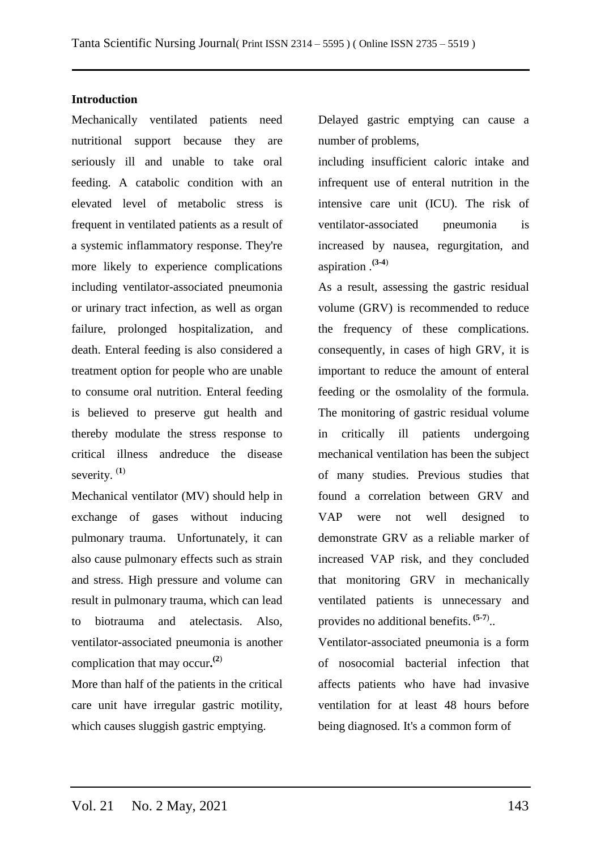### **Introduction**

Mechanically ventilated patients need nutritional support because they are seriously ill and unable to take oral feeding. A catabolic condition with an elevated level of metabolic stress is frequent in ventilated patients as a result of a systemic inflammatory response. They're more likely to experience complications including ventilator-associated pneumonia or urinary tract infection, as well as organ failure, prolonged hospitalization, and death. Enteral feeding is also considered a treatment option for people who are unable to consume oral nutrition. Enteral feeding is believed to preserve gut health and thereby modulate the stress response to critical illness andreduce the disease severity. (**1**)

Mechanical ventilator (MV) should help in exchange of gases without inducing pulmonary trauma. Unfortunately, it can also cause pulmonary effects such as strain and stress. High pressure and volume can result in pulmonary trauma, which can lead to biotrauma and atelectasis. Also, ventilator-associated pneumonia is another complication that may occur**. (2**)

More than half of the patients in the critical care unit have irregular gastric motility, which causes sluggish gastric emptying.

Delayed gastric emptying can cause a number of problems,

including insufficient caloric intake and infrequent use of enteral nutrition in the intensive care unit (ICU). The risk of ventilator-associated pneumonia is increased by nausea, regurgitation, and aspiration .**(3-4**)

As a result, assessing the gastric residual volume (GRV) is recommended to reduce the frequency of these complications. consequently, in cases of high GRV, it is important to reduce the amount of enteral feeding or the osmolality of the formula. The monitoring of gastric residual volume in critically ill patients undergoing mechanical ventilation has been the subject of many studies. Previous studies that found a correlation between GRV and VAP were not well designed to demonstrate GRV as a reliable marker of increased VAP risk, and they concluded that monitoring GRV in mechanically ventilated patients is unnecessary and provides no additional benefits. **(5-7**) ..

Ventilator-associated pneumonia is a form of nosocomial bacterial infection that affects patients who have had invasive ventilation for at least 48 hours before being diagnosed. It's a common form of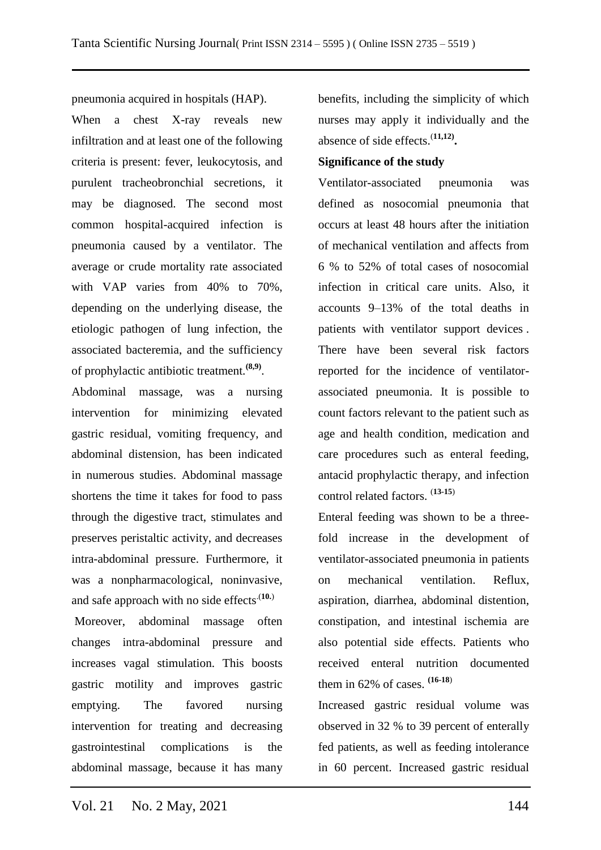pneumonia acquired in hospitals (HAP).

When a chest X-ray reveals new infiltration and at least one of the following criteria is present: fever, leukocytosis, and purulent tracheobronchial secretions, it may be diagnosed. The second most common hospital-acquired infection is pneumonia caused by a ventilator. The average or crude mortality rate associated with VAP varies from 40% to 70%, depending on the underlying disease, the etiologic pathogen of lung infection, the associated bacteremia, and the sufficiency of prophylactic antibiotic treatment.**(8,9)** .

Abdominal massage, was a nursing intervention for minimizing elevated gastric residual, vomiting frequency, and abdominal distension, has been indicated in numerous studies. Abdominal massage shortens the time it takes for food to pass through the digestive tract, stimulates and preserves peristaltic activity, and decreases intra-abdominal pressure. Furthermore, it was a nonpharmacological, noninvasive, and safe approach with no side effects<sup>(10.)</sup>

Moreover, abdominal massage often changes intra-abdominal pressure and increases vagal stimulation. This boosts gastric motility and improves gastric emptying. The favored nursing intervention for treating and decreasing gastrointestinal complications is the abdominal massage, because it has many benefits, including the simplicity of which nurses may apply it individually and the absence of side effects.(**11,12) .**

### **Significance of the study**

Ventilator-associated pneumonia was defined as nosocomial pneumonia that occurs at least 48 hours after the initiation of mechanical ventilation and affects from 6 % to 52% of total cases of nosocomial infection in critical care units. Also, it accounts 9–13% of the total deaths in patients with ventilator support devices . There have been several risk factors reported for the incidence of ventilatorassociated pneumonia. It is possible to count factors relevant to the patient such as age and health condition, medication and care procedures such as enteral feeding, antacid prophylactic therapy, and infection control related factors. (**13-15**)

Enteral feeding was shown to be a threefold increase in the development of ventilator-associated pneumonia in patients on mechanical ventilation. Reflux, aspiration, diarrhea, abdominal distention, constipation, and intestinal ischemia are also potential side effects. Patients who received enteral nutrition documented them in 62% of cases. **(16-18**)

Increased gastric residual volume was observed in 32 % to 39 percent of enterally fed patients, as well as feeding intolerance in 60 percent. Increased gastric residual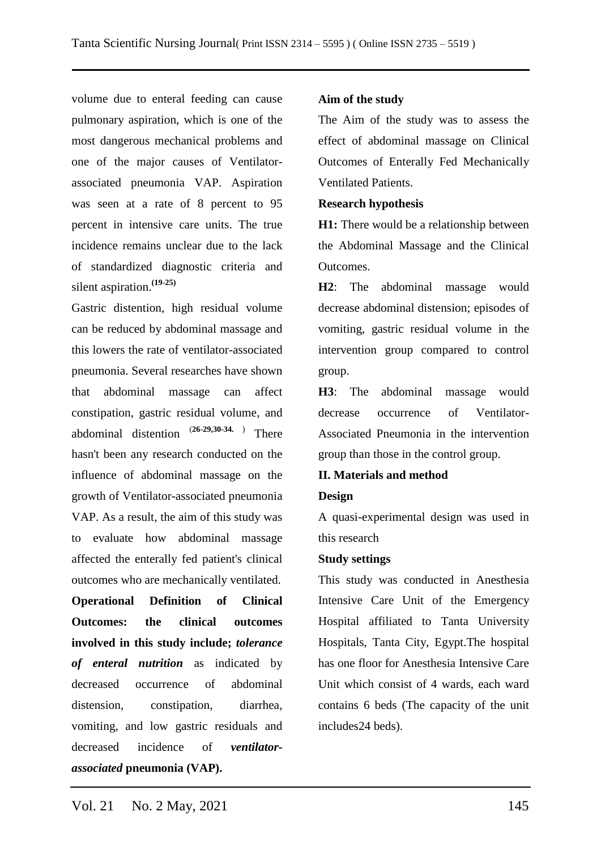volume due to enteral feeding can cause pulmonary aspiration, which is one of the most dangerous mechanical problems and one of the major causes of Ventilatorassociated pneumonia VAP. Aspiration was seen at a rate of 8 percent to 95 percent in intensive care units. The true incidence remains unclear due to the lack of standardized diagnostic criteria and silent aspiration.**(19-25)**

Gastric distention, high residual volume can be reduced by abdominal massage and this lowers the rate of ventilator-associated pneumonia. Several researches have shown that abdominal massage can affect constipation, gastric residual volume, and abdominal distention (**26-29,30-34.** ) There hasn't been any research conducted on the influence of abdominal massage on the growth of Ventilator-associated pneumonia VAP. As a result, the aim of this study was to evaluate how abdominal massage affected the enterally fed patient's clinical outcomes who are mechanically ventilated.

**Operational Definition of Clinical Outcomes: the clinical outcomes involved in this study include;** *tolerance of enteral nutrition* as indicated by decreased occurrence of abdominal distension, constipation, diarrhea, vomiting, and low gastric residuals and decreased incidence of *ventilatorassociated* **pneumonia (VAP).**

### **Aim of the study**

The Aim of the study was to assess the effect of abdominal massage on Clinical Outcomes of Enterally Fed Mechanically Ventilated Patients.

#### **Research hypothesis**

**H1:** There would be a relationship between the Abdominal Massage and the Clinical Outcomes.

**H2**: The abdominal massage would decrease abdominal distension; episodes of vomiting, gastric residual volume in the intervention group compared to control group.

**H3**: The abdominal massage would decrease occurrence of Ventilator-Associated Pneumonia in the intervention group than those in the control group.

#### **II. Materials and method**

#### **Design**

A quasi-experimental design was used in this research

#### **Study settings**

This study was conducted in Anesthesia Intensive Care Unit of the Emergency Hospital affiliated to Tanta University Hospitals, Tanta City, Egypt.The hospital has one floor for Anesthesia Intensive Care Unit which consist of 4 wards, each ward contains 6 beds (The capacity of the unit includes24 beds).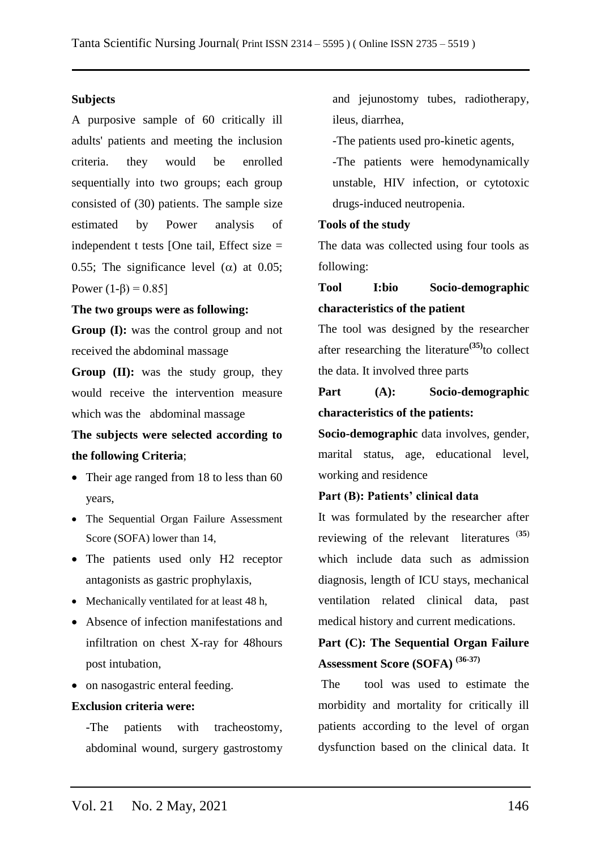### **Subjects**

A purposive sample of 60 critically ill adults' patients and meeting the inclusion criteria. they would be enrolled sequentially into two groups; each group consisted of (30) patients. The sample size estimated by Power analysis of independent t tests [One tail, Effect size = 0.55; The significance level ( $\alpha$ ) at 0.05; Power  $(1-\beta) = 0.85$ ]

### **The two groups were as following:**

**Group (I):** was the control group and not received the abdominal massage

**Group (II):** was the study group, they would receive the intervention measure which was the abdominal massage

# **The subjects were selected according to the following Criteria**;

- Their age ranged from 18 to less than 60 years,
- The Sequential Organ Failure Assessment Score (SOFA) lower than 14,
- The patients used only H2 receptor antagonists as gastric prophylaxis,
- Mechanically ventilated for at least 48 h,
- Absence of infection manifestations and infiltration on chest X-ray for 48hours post intubation,
- on nasogastric enteral feeding.

### **Exclusion criteria were:**

-The patients with tracheostomy, abdominal wound, surgery gastrostomy and jejunostomy tubes, radiotherapy, ileus, diarrhea,

-The patients used pro-kinetic agents,

-The patients were hemodynamically unstable, HIV infection, or cytotoxic drugs-induced neutropenia.

#### **Tools of the study**

The data was collected using four tools as following:

# **Tool I:bio Socio-demographic characteristics of the patient**

The tool was designed by the researcher after researching the literature**(35)**to collect the data. It involved three parts

# **Part (A): Socio-demographic characteristics of the patients:**

**Socio-demographic** data involves, gender, marital status, age, educational level, working and residence

#### **Part (B): Patients' clinical data**

It was formulated by the researcher after reviewing of the relevant literatures (**35**) which include data such as admission diagnosis, length of ICU stays, mechanical ventilation related clinical data, past medical history and current medications.

# **Part (C): The Sequential Organ Failure Assessment Score (SOFA) (36-37)**

The tool was used to estimate the morbidity and mortality for critically ill patients according to the level of organ dysfunction based on the clinical data. It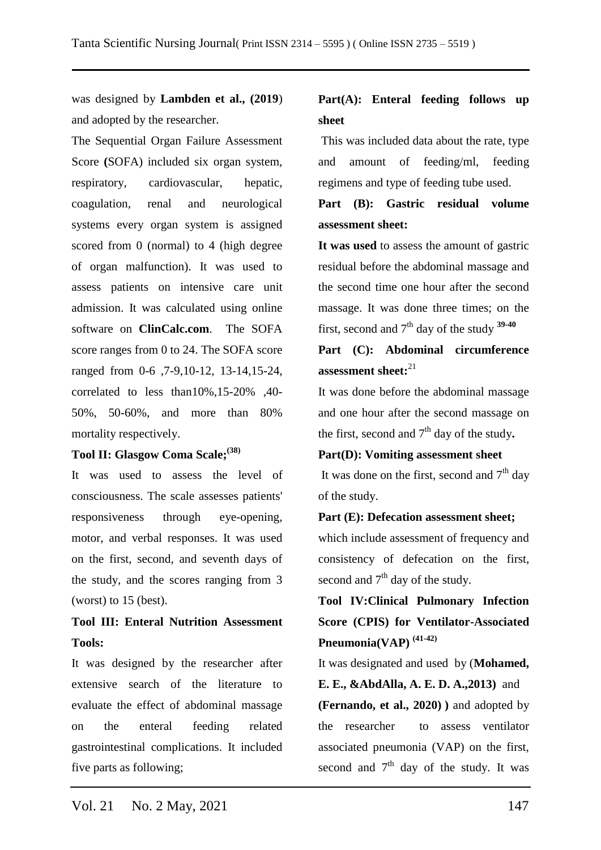was designed by **Lambden et al., (2019**) and adopted by the researcher.

The Sequential Organ Failure Assessment Score **(**SOFA) included six organ system, respiratory, cardiovascular, hepatic, coagulation, renal and neurological systems every organ system is assigned scored from 0 (normal) to 4 (high degree of organ malfunction). It was used to assess patients on intensive care unit admission. It was calculated using online software on **ClinCalc.com**. The SOFA score ranges from 0 to 24. The SOFA score ranged from 0-6 ,7-9,10-12, 13-14,15-24, correlated to less than10%,15-20% ,40- 50%, 50-60%, and more than 80% mortality respectively.

### **Tool II: Glasgow Coma Scale;(38)**

It was used to assess the level of consciousness. The scale assesses patients' responsiveness through eye-opening, motor, and verbal responses. It was used on the first, second, and seventh days of the study, and the scores ranging from 3 (worst) to 15 (best).

# **Tool III: Enteral Nutrition Assessment Tools:**

It was designed by the researcher after extensive search of the literature to evaluate the effect of abdominal massage on the enteral feeding related gastrointestinal complications. It included five parts as following;

# **Part(A): Enteral feeding follows up sheet**

This was included data about the rate, type and amount of feeding/ml, feeding regimens and type of feeding tube used.

# **Part (B): Gastric residual volume assessment sheet:**

**It was used** to assess the amount of gastric residual before the abdominal massage and the second time one hour after the second massage. It was done three times; on the first, second and  $7<sup>th</sup>$  day of the study  $39-40$ 

# **Part (C): Abdominal circumference assessment sheet:**<sup>21</sup>

It was done before the abdominal massage and one hour after the second massage on the first, second and  $7<sup>th</sup>$  day of the study.

## **Part(D): Vomiting assessment sheet**

It was done on the first, second and  $7<sup>th</sup>$  day of the study.

#### **Part (E): Defecation assessment sheet;**

which include assessment of frequency and consistency of defecation on the first, second and  $7<sup>th</sup>$  day of the study.

**Tool IV:Clinical Pulmonary Infection Score (CPIS) for Ventilator-Associated Pneumonia(VAP) (41-42)**

It was designated and used by (**Mohamed, E. E., &AbdAlla, A. E. D. A.,2013)** and **(Fernando, et al., 2020) )** and adopted by the researcher to assess ventilator associated pneumonia (VAP) on the first, second and  $7<sup>th</sup>$  day of the study. It was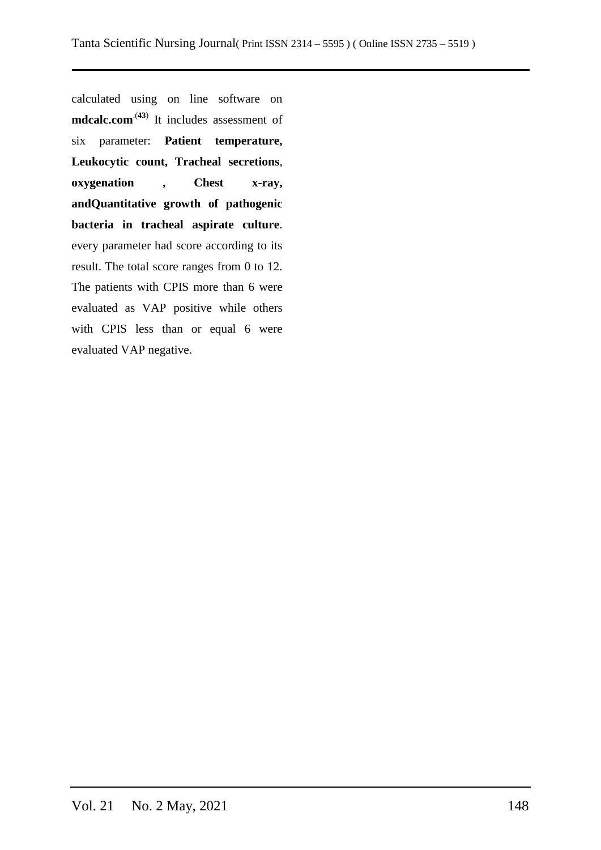calculated using on line software on **[mdcalc.com](https://www.mdcalc.com/clinical-pulmonary-infection-score-cpis-ventilator-associated-pneumonia-vap)**.(**43**) It includes assessment of six parameter: **Patient temperature, Leukocytic count, Tracheal secretions**, **oxygenation , Chest x-ray, andQuantitative growth of pathogenic bacteria in tracheal aspirate culture**. every parameter had score according to its result. The total score ranges from 0 to 12. The patients with CPIS more than 6 were evaluated as VAP positive while others with CPIS less than or equal 6 were evaluated VAP negative.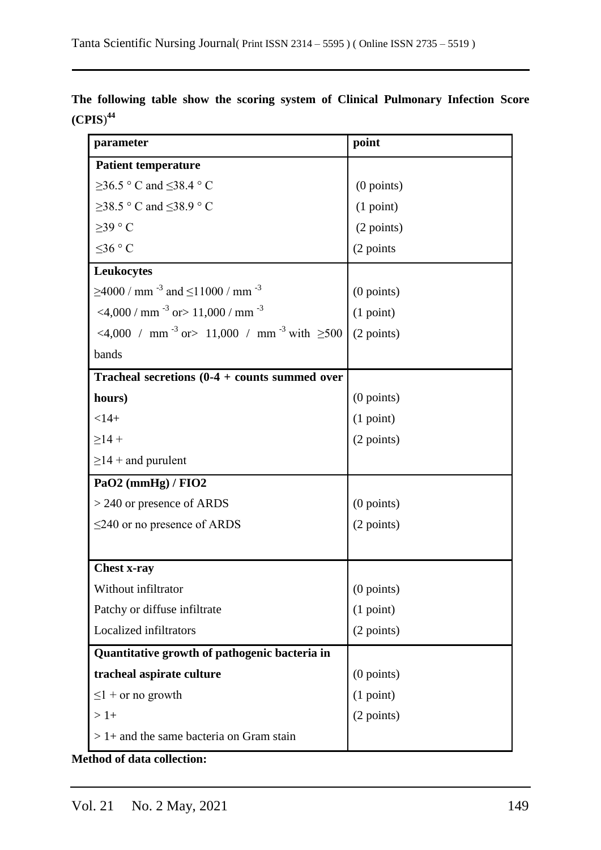| parameter                                                                | point        |
|--------------------------------------------------------------------------|--------------|
| <b>Patient temperature</b>                                               |              |
| $\geq$ 36.5 ° C and $\leq$ 38.4 ° C                                      | $(0$ points) |
| $\geq$ 38.5 ° C and $\leq$ 38.9 ° C                                      | (1 point)    |
| $>39$ ° C                                                                | (2 points)   |
| ≤36 °C                                                                   | (2 points    |
| Leukocytes                                                               |              |
| $\geq$ 4000 / mm <sup>-3</sup> and $\leq$ 11000 / mm <sup>-3</sup>       | $(0$ points) |
| <4,000 / mm $^{-3}$ or > 11,000 / mm $^{-3}$                             | (1 point)    |
| <4,000 / mm <sup>-3</sup> or > 11,000 / mm <sup>-3</sup> with $\geq 500$ | (2 points)   |
| bands                                                                    |              |
| Tracheal secretions $(0-4 + \text{counts summed over})$                  |              |
| hours)                                                                   | $(0$ points) |
| $< 14 +$                                                                 | (1 point)    |
| $\geq$ 14 +                                                              | (2 points)   |
| $\geq$ 14 + and purulent                                                 |              |
| PaO2 (mmHg) / FIO2                                                       |              |
| $> 240$ or presence of ARDS                                              | $(0$ points) |
| $\leq$ 240 or no presence of ARDS                                        | (2 points)   |
|                                                                          |              |
| <b>Chest x-ray</b>                                                       |              |
| Without infiltrator                                                      | $(0$ points) |
| Patchy or diffuse infiltrate                                             | (1 point)    |
| Localized infiltrators                                                   | (2 points)   |
| Quantitative growth of pathogenic bacteria in                            |              |
| tracheal aspirate culture                                                | $(0$ points) |
| $\leq$ 1 + or no growth                                                  | (1 point)    |
| $>1+$                                                                    | (2 points)   |
| $> 1+$ and the same bacteria on Gram stain                               |              |

**The following table show the scoring system of Clinical Pulmonary Infection Score (CPIS**) **44**

**Method of data collection:**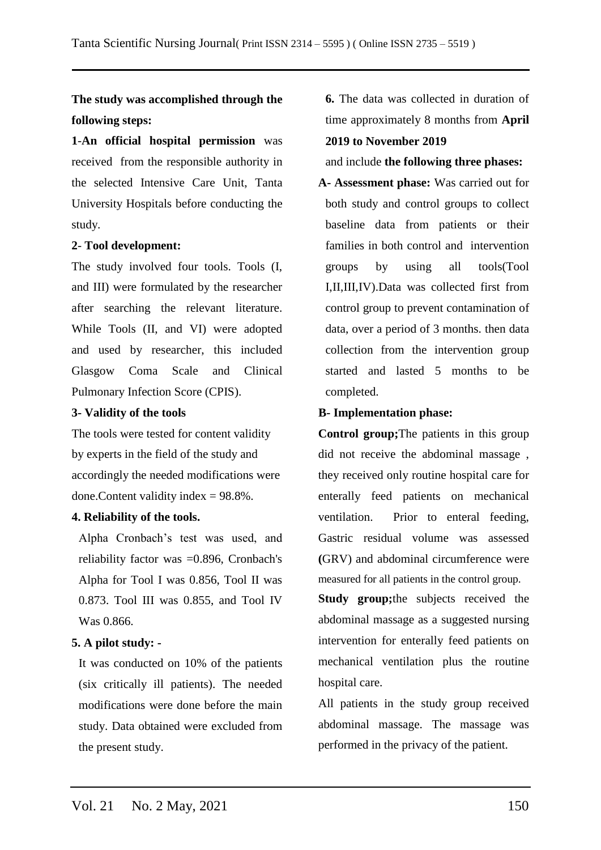# **The study was accomplished through the following steps:**

**1**-**An official hospital permission** was received from the responsible authority in the selected Intensive Care Unit, Tanta University Hospitals before conducting the study.

### **2**- **Tool development:**

The study involved four tools. Tools (I, and III) were formulated by the researcher after searching the relevant literature. While Tools (II, and VI) were adopted and used by researcher, this included Glasgow Coma Scale and Clinical Pulmonary Infection Score (CPIS).

### **3- Validity of the tools**

The tools were tested for content validity by experts in the field of the study and accordingly the needed modifications were done.Content validity index = 98.8%.

### **4. Reliability of the tools.**

Alpha Cronbach's test was used, and reliability factor was =0.896, Cronbach's Alpha for Tool I was 0.856, Tool II was 0.873. Tool III was 0.855, and Tool IV Was 0.866.

# **5. A pilot study: -**

It was conducted on 10% of the patients (six critically ill patients). The needed modifications were done before the main study. Data obtained were excluded from the present study.

**6.** The data was collected in duration of time approximately 8 months from **April 2019 to November 2019**

and include **the following three phases:**

**A- Assessment phase:** Was carried out for both study and control groups to collect baseline data from patients or their families in both control and intervention groups by using all tools(Tool I,II,III,IV).Data was collected first from control group to prevent contamination of data, over a period of 3 months. then data collection from the intervention group started and lasted 5 months to be completed.

# **B- Implementation phase:**

**Control group;**The patients in this group did not receive the abdominal massage , they received only routine hospital care for enterally feed patients on mechanical ventilation. Prior to enteral feeding, Gastric residual volume was assessed **(**GRV) and abdominal circumference were measured for all patients in the control group.

**Study group;**the subjects received the abdominal massage as a suggested nursing intervention for enterally feed patients on mechanical ventilation plus the routine hospital care.

All patients in the study group received abdominal massage. The massage was performed in the privacy of the patient.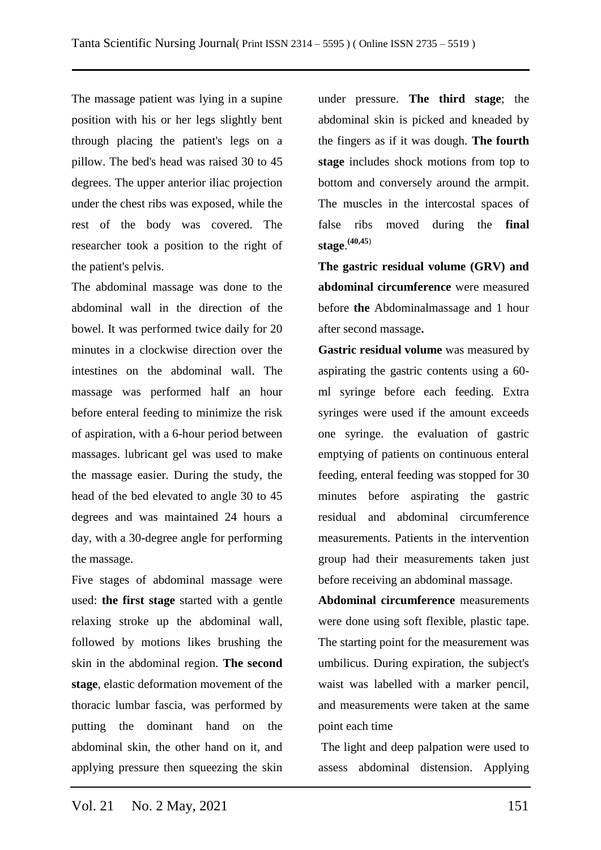The massage patient was lying in a supine position with his or her legs slightly bent through placing the patient's legs on a pillow. The bed's head was raised 30 to 45 degrees. The upper anterior iliac projection under the chest ribs was exposed, while the rest of the body was covered. The researcher took a position to the right of the patient's pelvis.

The abdominal massage was done to the abdominal wall in the direction of the bowel. It was performed twice daily for 20 minutes in a clockwise direction over the intestines on the abdominal wall. The massage was performed half an hour before enteral feeding to minimize the risk of aspiration, with a 6-hour period between massages. lubricant gel was used to make the massage easier. During the study, the head of the bed elevated to angle 30 to 45 degrees and was maintained 24 hours a day, with a 30-degree angle for performing the massage.

Five stages of abdominal massage were used: **the first stage** started with a gentle relaxing stroke up the abdominal wall, followed by motions likes brushing the skin in the abdominal region. **The second stage**, elastic deformation movement of the thoracic lumbar fascia, was performed by putting the dominant hand on the abdominal skin, the other hand on it, and applying pressure then squeezing the skin under pressure. **The third stage**; the abdominal skin is picked and kneaded by the fingers as if it was dough. **The fourth stage** includes shock motions from top to bottom and conversely around the armpit. The muscles in the intercostal spaces of false ribs moved during the **final stage**. **(40,45**)

**The gastric residual volume (GRV) and abdominal circumference** were measured before **the** Abdominalmassage and 1 hour after second massage**.**

**Gastric residual volume** was measured by aspirating the gastric contents using a 60 ml syringe before each feeding. Extra syringes were used if the amount exceeds one syringe. the evaluation of gastric emptying of patients on continuous enteral feeding, enteral feeding was stopped for 30 minutes before aspirating the gastric residual and abdominal circumference measurements. Patients in the intervention group had their measurements taken just before receiving an abdominal massage.

**Abdominal circumference** measurements were done using soft flexible, plastic tape. The starting point for the measurement was umbilicus. During expiration, the subject's waist was labelled with a marker pencil, and measurements were taken at the same point each time

The light and deep palpation were used to assess abdominal distension. Applying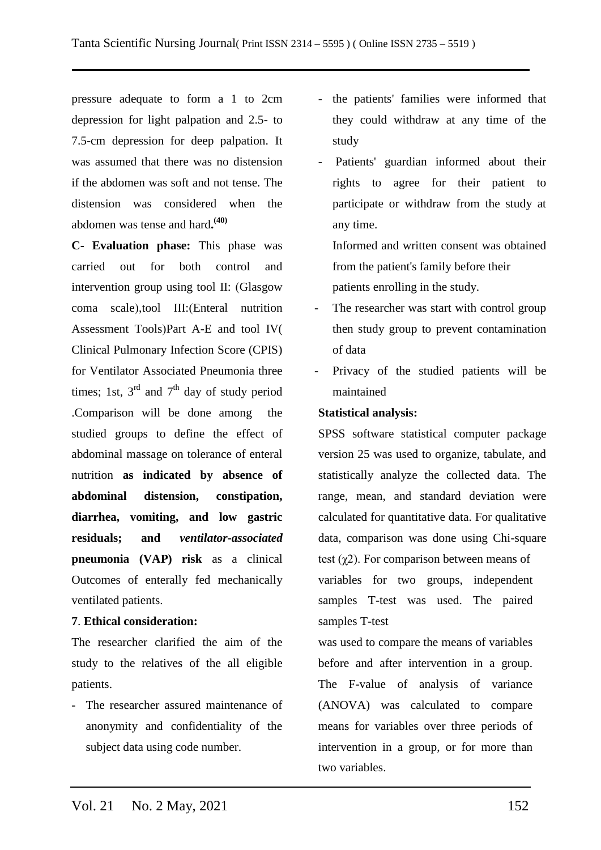pressure adequate to form a 1 to 2cm depression for light palpation and 2.5- to 7.5-cm depression for deep palpation. It was assumed that there was no distension if the abdomen was soft and not tense. The distension was considered when the abdomen was tense and hard**. (40)**

**C- Evaluation phase:** This phase was carried out for both control and intervention group using tool II: (Glasgow coma scale),tool III:(Enteral nutrition Assessment Tools)Part A-E and tool IV( Clinical Pulmonary Infection Score (CPIS) for Ventilator Associated Pneumonia three times; 1st,  $3<sup>rd</sup>$  and  $7<sup>th</sup>$  day of study period .Comparison will be done among the studied groups to define the effect of abdominal massage on tolerance of enteral nutrition **as indicated by absence of abdominal distension, constipation, diarrhea, vomiting, and low gastric residuals; and** *ventilator-associated*  **pneumonia (VAP) risk** as a clinical Outcomes of enterally fed mechanically ventilated patients.

### **7**. **Ethical consideration:**

The researcher clarified the aim of the study to the relatives of the all eligible patients.

- The researcher assured maintenance of anonymity and confidentiality of the subject data using code number.

- the patients' families were informed that they could withdraw at any time of the study
- Patients' guardian informed about their rights to agree for their patient to participate or withdraw from the study at any time.

Informed and written consent was obtained from the patient's family before their patients enrolling in the study.

- The researcher was start with control group then study group to prevent contamination of data
- Privacy of the studied patients will be maintained

# **Statistical analysis:**

SPSS software statistical computer package version 25 was used to organize, tabulate, and statistically analyze the collected data. The range, mean, and standard deviation were calculated for quantitative data. For qualitative data, comparison was done using Chi-square test  $(\gamma 2)$ . For comparison between means of variables for two groups, independent samples T-test was used. The paired samples T-test

was used to compare the means of variables before and after intervention in a group. The F-value of analysis of variance (ANOVA) was calculated to compare means for variables over three periods of intervention in a group, or for more than two variables.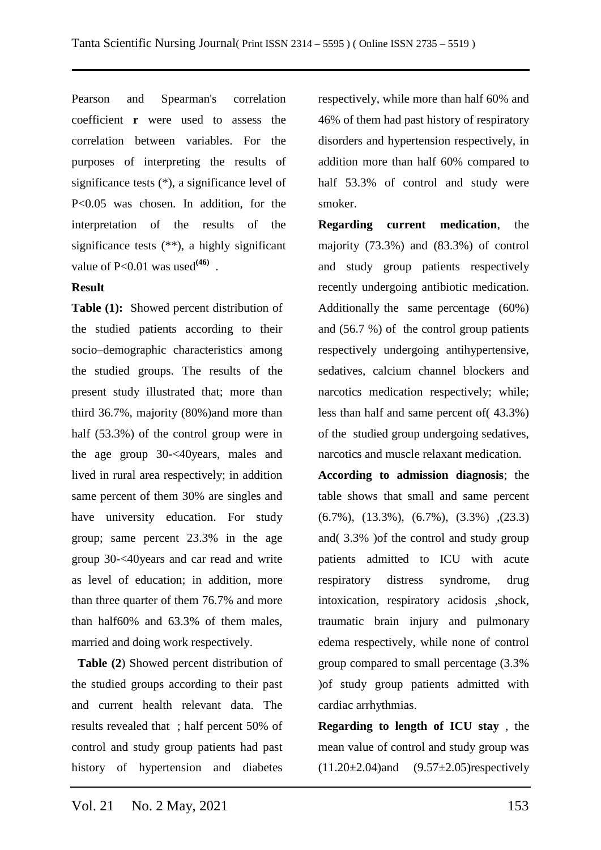Pearson and Spearman's correlation coefficient **r** were used to assess the correlation between variables. For the purposes of interpreting the results of significance tests (\*), a significance level of P<0.05 was chosen. In addition, for the interpretation of the results of the significance tests (\*\*), a highly significant value of  $P<0.01$  was used<sup>(46)</sup>.

### **Result**

**Table (1):** Showed percent distribution of the studied patients according to their socio–demographic characteristics among the studied groups. The results of the present study illustrated that; more than third 36.7%, majority (80%)and more than half (53.3%) of the control group were in the age group 30-<40years, males and lived in rural area respectively; in addition same percent of them 30% are singles and have university education. For study group; same percent 23.3% in the age group 30-<40years and car read and write as level of education; in addition, more than three quarter of them 76.7% and more than half60% and 63.3% of them males, married and doing work respectively.

 **Table (2**) Showed percent distribution of the studied groups according to their past and current health relevant data. The results revealed that ; half percent 50% of control and study group patients had past history of hypertension and diabetes

respectively, while more than half 60% and 46% of them had past history of respiratory disorders and hypertension respectively, in addition more than half 60% compared to half 53.3% of control and study were smoker.

**Regarding current medication**, the majority (73.3%) and (83.3%) of control and study group patients respectively recently undergoing antibiotic medication. Additionally the same percentage (60%) and (56.7 %) of the control group patients respectively undergoing antihypertensive, sedatives, calcium channel blockers and narcotics medication respectively; while; less than half and same percent of( 43.3%) of the studied group undergoing sedatives, narcotics and muscle relaxant medication.

**According to admission diagnosis**; the table shows that small and same percent (6.7%), (13.3%), (6.7%), (3.3%) ,(23.3) and( 3.3% )of the control and study group patients admitted to ICU with acute respiratory distress syndrome, drug intoxication, respiratory acidosis ,shock, traumatic brain injury and pulmonary edema respectively, while none of control group compared to small percentage (3.3% )of study group patients admitted with cardiac arrhythmias.

**Regarding to length of ICU stay** , the mean value of control and study group was  $(11.20 \pm 2.04)$ and  $(9.57 \pm 2.05)$ respectively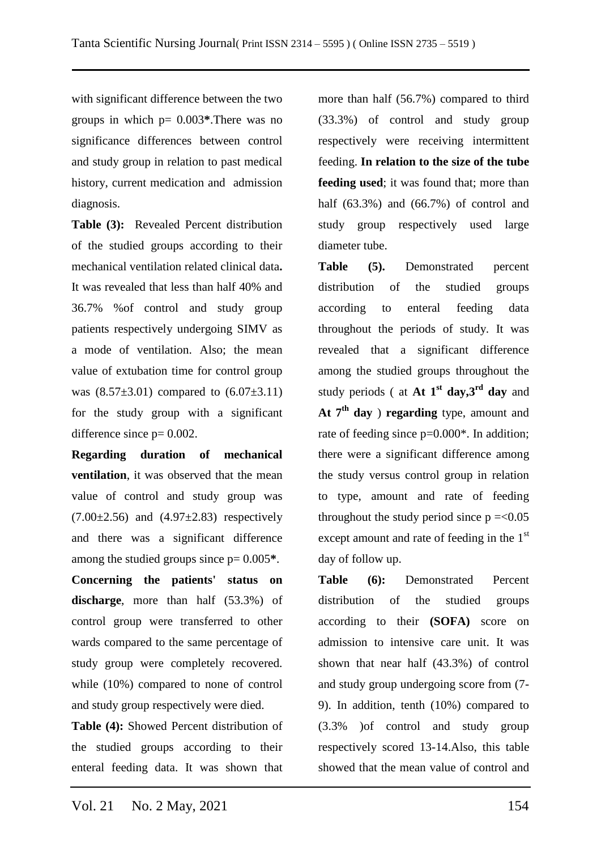with significant difference between the two groups in which p= 0.003**\***.There was no significance differences between control and study group in relation to past medical history, current medication and admission diagnosis.

**Table (3):** Revealed Percent distribution of the studied groups according to their mechanical ventilation related clinical data**.**  It was revealed that less than half 40% and 36.7% %of control and study group patients respectively undergoing SIMV as a mode of ventilation. Also; the mean value of extubation time for control group was  $(8.57\pm3.01)$  compared to  $(6.07\pm3.11)$ for the study group with a significant difference since  $p=0.002$ .

**Regarding duration of mechanical ventilation**, it was observed that the mean value of control and study group was  $(7.00\pm 2.56)$  and  $(4.97\pm 2.83)$  respectively and there was a significant difference among the studied groups since p= 0.005**\***.

**Concerning the patients' status on discharge**, more than half (53.3%) of control group were transferred to other wards compared to the same percentage of study group were completely recovered. while (10%) compared to none of control and study group respectively were died.

**Table (4):** Showed Percent distribution of the studied groups according to their enteral feeding data. It was shown that

more than half (56.7%) compared to third (33.3%) of control and study group respectively were receiving intermittent feeding. **In relation to the size of the tube feeding used**; it was found that; more than half (63.3%) and (66.7%) of control and study group respectively used large diameter tube.

**Table (5).** Demonstrated percent distribution of the studied groups according to enteral feeding data throughout the periods of study. It was revealed that a significant difference among the studied groups throughout the study periods ( at **At 1st day,3rd day** and **At 7th day** ) **regarding** type, amount and rate of feeding since  $p=0.000^*$ . In addition; there were a significant difference among the study versus control group in relation to type, amount and rate of feeding throughout the study period since  $p = 0.05$ except amount and rate of feeding in the  $1<sup>st</sup>$ day of follow up.

**Table (6):** Demonstrated Percent distribution of the studied groups according to their **(SOFA)** score on admission to intensive care unit. It was shown that near half (43.3%) of control and study group undergoing score from (7- 9). In addition, tenth (10%) compared to (3.3% )of control and study group respectively scored 13-14.Also, this table showed that the mean value of control and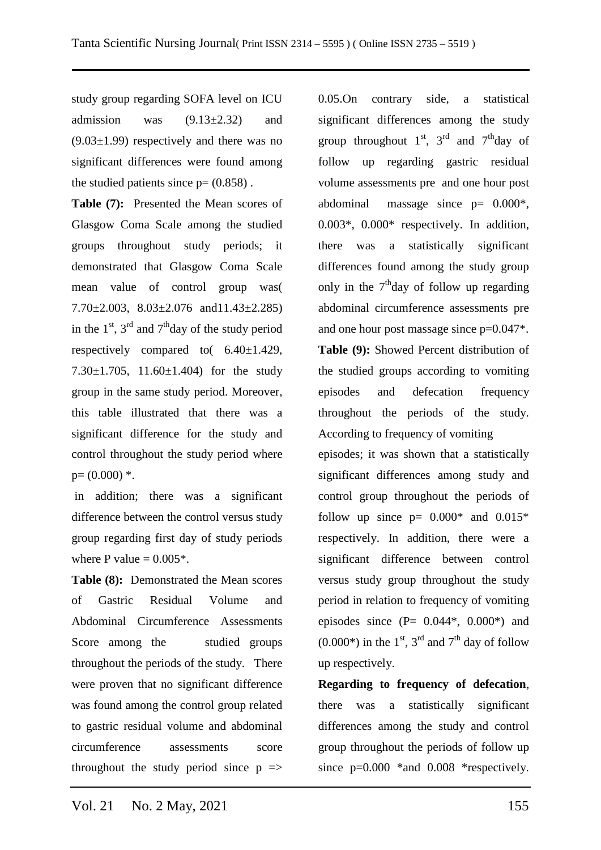study group regarding SOFA level on ICU admission was  $(9.13\pm2.32)$  and  $(9.03\pm1.99)$  respectively and there was no significant differences were found among the studied patients since  $p = (0.858)$ .

**Table (7):** Presented the Mean scores of Glasgow Coma Scale among the studied groups throughout study periods; it demonstrated that Glasgow Coma Scale mean value of control group was( 7.70±2.003, 8.03±2.076 and11.43±2.285) in the  $1<sup>st</sup>$ ,  $3<sup>rd</sup>$  and  $7<sup>th</sup>$ day of the study period respectively compared to( 6.40±1.429, 7.30±1.705, 11.60±1.404) for the study group in the same study period. Moreover, this table illustrated that there was a significant difference for the study and control throughout the study period where  $p=(0.000)$  \*.

in addition; there was a significant difference between the control versus study group regarding first day of study periods where P value  $= 0.005$ <sup>\*</sup>.

**Table (8):** Demonstrated the Mean scores of Gastric Residual Volume and Abdominal Circumference Assessments Score among the studied groups throughout the periods of the study. There were proven that no significant difference was found among the control group related to gastric residual volume and abdominal circumference assessments score throughout the study period since  $p \implies$  0.05.On contrary side, a statistical significant differences among the study group throughout  $1<sup>st</sup>$ ,  $3<sup>rd</sup>$  and  $7<sup>th</sup>$ day of follow up regarding gastric residual volume assessments pre and one hour post abdominal massage since p= 0.000\*, 0.003\*, 0.000\* respectively. In addition, there was a statistically significant differences found among the study group only in the  $7<sup>th</sup>$ day of follow up regarding abdominal circumference assessments pre and one hour post massage since p=0.047\*. **Table (9):** Showed Percent distribution of the studied groups according to vomiting episodes and defecation frequency throughout the periods of the study. According to frequency of vomiting

episodes; it was shown that a statistically significant differences among study and control group throughout the periods of follow up since  $p= 0.000^*$  and  $0.015^*$ respectively. In addition, there were a significant difference between control versus study group throughout the study period in relation to frequency of vomiting episodes since  $(P = 0.044^*, 0.000^*)$  and  $(0.000^*)$  in the 1<sup>st</sup>, 3<sup>rd</sup> and 7<sup>th</sup> day of follow up respectively.

**Regarding to frequency of defecation**, there was a statistically significant differences among the study and control group throughout the periods of follow up since  $p=0.000$  \*and 0.008 \*respectively.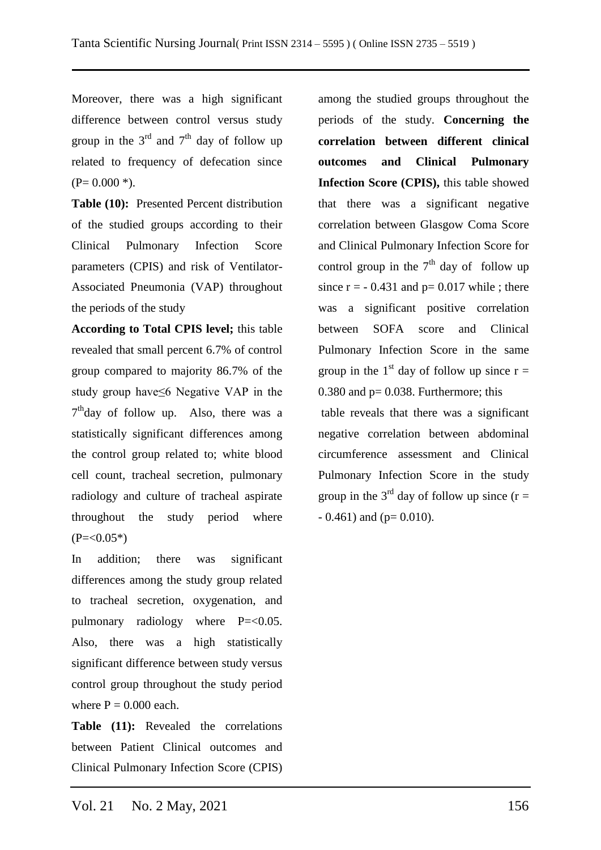Moreover, there was a high significant difference between control versus study group in the  $3<sup>rd</sup>$  and  $7<sup>th</sup>$  day of follow up related to frequency of defecation since  $(P= 0.000*)$ .

**Table (10):** Presented Percent distribution of the studied groups according to their Clinical Pulmonary Infection Score parameters (CPIS) and risk of Ventilator-Associated Pneumonia (VAP) throughout the periods of the study

**According to Total CPIS level;** this table revealed that small percent 6.7% of control group compared to majority 86.7% of the study group have≤6 Negative VAP in the 7<sup>th</sup>day of follow up. Also, there was a statistically significant differences among the control group related to; white blood cell count, tracheal secretion, pulmonary radiology and culture of tracheal aspirate throughout the study period where  $(P=<0.05*)$ 

In addition; there was significant differences among the study group related to tracheal secretion, oxygenation, and pulmonary radiology where P=<0.05. Also, there was a high statistically significant difference between study versus control group throughout the study period where  $P = 0.000$  each.

**Table (11):** Revealed the correlations between Patient Clinical outcomes and Clinical Pulmonary Infection Score (CPIS) among the studied groups throughout the periods of the study. **Concerning the correlation between different clinical outcomes and Clinical Pulmonary Infection Score (CPIS),** this table showed that there was a significant negative correlation between Glasgow Coma Score and Clinical Pulmonary Infection Score for control group in the  $7<sup>th</sup>$  day of follow up since  $r = -0.431$  and  $p = 0.017$  while; there was a significant positive correlation between SOFA score and Clinical Pulmonary Infection Score in the same group in the 1<sup>st</sup> day of follow up since  $r =$ 0.380 and  $p = 0.038$ . Furthermore; this

table reveals that there was a significant negative correlation between abdominal circumference assessment and Clinical Pulmonary Infection Score in the study group in the 3<sup>rd</sup> day of follow up since  $(r =$  $-0.461$ ) and (p= 0.010).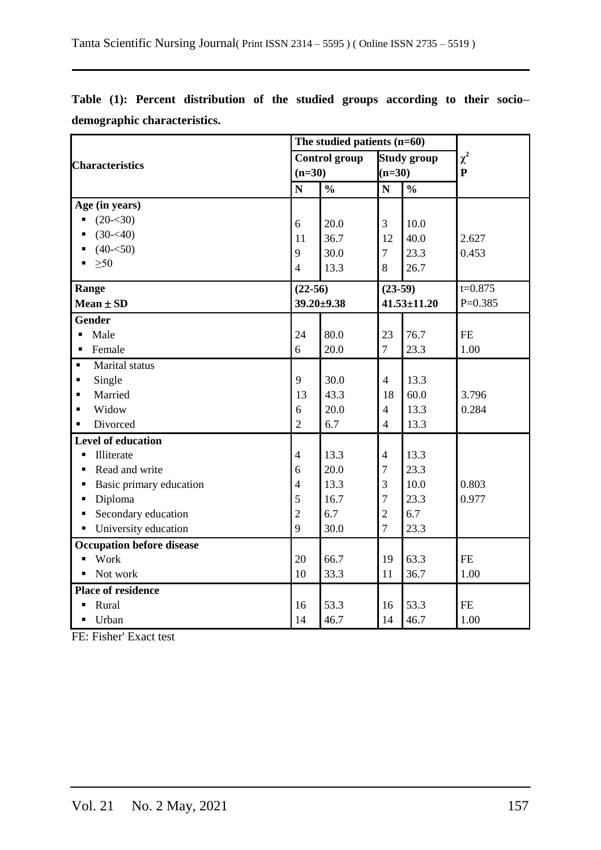|                                       |                | The studied patients $(n=60)$ |                |                    |              |
|---------------------------------------|----------------|-------------------------------|----------------|--------------------|--------------|
| <b>Characteristics</b>                |                | <b>Control group</b>          |                | <b>Study group</b> | $\chi^2$     |
|                                       | $(n=30)$       |                               | $(n=30)$       |                    | $\mathbf{P}$ |
|                                       | $\mathbf N$    | $\frac{0}{0}$                 | $\mathbf N$    | $\frac{0}{0}$      |              |
| Age (in years)                        |                |                               |                |                    |              |
| $(20 - 30)$<br>Ξ                      | 6              | 20.0                          | 3              | 10.0               |              |
| $(30 - 40)$                           | 11             | 36.7                          | 12             | 40.0               | 2.627        |
| $(40 - 50)$                           | 9              | 30.0                          | $\overline{7}$ | 23.3               | 0.453        |
| $\geq 50$<br>$\blacksquare$           | $\overline{4}$ | 13.3                          | 8              | 26.7               |              |
| Range                                 | $(22-56)$      |                               | $(23-59)$      |                    | $t = 0.875$  |
| $Mean \pm SD$                         |                | $39.20 \pm 9.38$              |                | $41.53 \pm 11.20$  | $P=0.385$    |
| <b>Gender</b>                         |                |                               |                |                    |              |
| Male<br>$\blacksquare$                | 24             | 80.0                          | 23             | 76.7               | $\rm FE$     |
| Female<br>$\blacksquare$              | 6              | 20.0                          | $\overline{7}$ | 23.3               | 1.00         |
| Marital status<br>$\blacksquare$      |                |                               |                |                    |              |
| Single<br>$\blacksquare$              | 9              | 30.0                          | $\overline{4}$ | 13.3               |              |
| Married<br>$\blacksquare$             | 13             | 43.3                          | 18             | 60.0               | 3.796        |
| Widow<br>$\blacksquare$               | 6              | 20.0                          | $\overline{4}$ | 13.3               | 0.284        |
| Divorced<br>$\blacksquare$            | $\overline{2}$ | 6.7                           | $\overline{4}$ | 13.3               |              |
| <b>Level of education</b>             |                |                               |                |                    |              |
| Illiterate<br>$\blacksquare$          | $\overline{4}$ | 13.3                          | $\overline{4}$ | 13.3               |              |
| Read and write<br>٠                   | 6              | 20.0                          | 7              | 23.3               |              |
| Basic primary education               | $\overline{4}$ | 13.3                          | 3              | 10.0               | 0.803        |
| Diploma<br>$\blacksquare$             | 5              | 16.7                          | $\overline{7}$ | 23.3               | 0.977        |
| Secondary education<br>$\blacksquare$ | $\overline{2}$ | 6.7                           | $\overline{2}$ | 6.7                |              |
| University education<br>Ξ             | 9              | 30.0                          | $\overline{7}$ | 23.3               |              |
| <b>Occupation before disease</b>      |                |                               |                |                    |              |
| Work<br>$\blacksquare$                | 20             | 66.7                          | 19             | 63.3               | <b>FE</b>    |
| Not work<br>$\blacksquare$            | 10             | 33.3                          | 11             | 36.7               | 1.00         |
| <b>Place of residence</b>             |                |                               |                |                    |              |
| Rural<br>$\blacksquare$               | 16             | 53.3                          | 16             | 53.3               | $\rm FE$     |
| Urban<br>$\blacksquare$               | 14             | 46.7                          | 14             | 46.7               | 1.00         |

**Table (1): Percent distribution of the studied groups according to their socio– demographic characteristics.**

FE: Fisher' Exact test

L.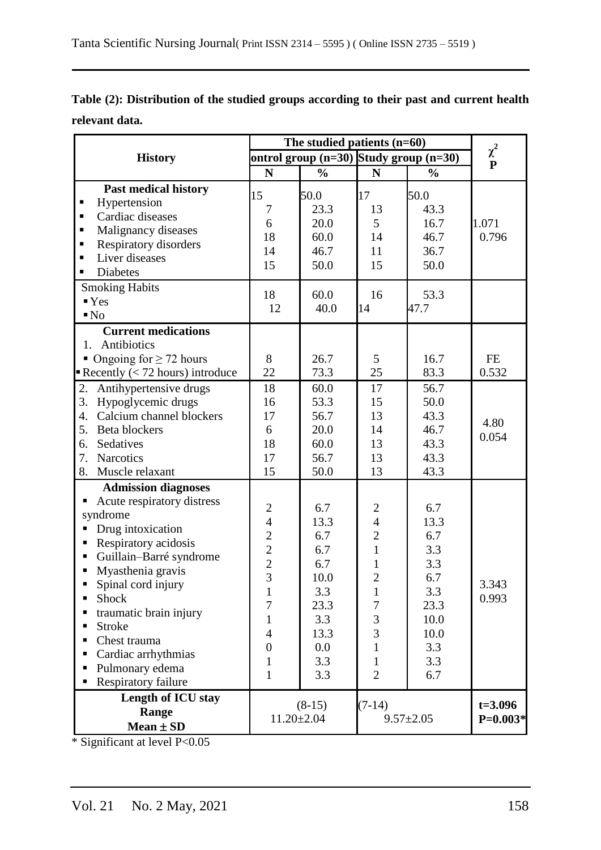| Table (2): Distribution of the studied groups according to their past and current health |  |
|------------------------------------------------------------------------------------------|--|
| relevant data.                                                                           |  |

|                                                  |                                            |                                            |                 | The studied patients $(n=60)$ |                          |  |  |  |
|--------------------------------------------------|--------------------------------------------|--------------------------------------------|-----------------|-------------------------------|--------------------------|--|--|--|
| <b>History</b>                                   |                                            | ontrol group $(n=30)$ Study group $(n=30)$ |                 |                               | $\chi^2$<br>$\mathbf{P}$ |  |  |  |
|                                                  | N                                          | $\frac{0}{0}$                              | N               | $\frac{0}{0}$                 |                          |  |  |  |
| <b>Past medical history</b><br>Hypertension<br>п | 15<br>$\overline{7}$                       | 50.0<br>23.3                               | 17<br>13        | 50.0<br>43.3                  |                          |  |  |  |
| Cardiac diseases<br>٠                            | 6                                          | 20.0                                       | 5               | 16.7                          | 1.071                    |  |  |  |
| Malignancy diseases<br>٠                         | 18                                         | 60.0                                       | 14              | 46.7                          | 0.796                    |  |  |  |
| Respiratory disorders<br>٠                       | 14                                         | 46.7                                       | 11              | 36.7                          |                          |  |  |  |
| Liver diseases<br>٠                              | 15                                         | 50.0                                       | 15              | 50.0                          |                          |  |  |  |
| <b>Diabetes</b><br>٠                             |                                            |                                            |                 |                               |                          |  |  |  |
| <b>Smoking Habits</b>                            | 18                                         | 60.0                                       | 16              | 53.3                          |                          |  |  |  |
| $\mathbf{Y}$ es                                  | 12                                         | 40.0                                       | 14              | 47.7                          |                          |  |  |  |
| $\blacksquare$ No                                |                                            |                                            |                 |                               |                          |  |  |  |
| <b>Current medications</b>                       |                                            |                                            |                 |                               |                          |  |  |  |
| Antibiotics<br>1.                                |                                            |                                            |                 |                               |                          |  |  |  |
| • Ongoing for $\geq$ 72 hours                    | 8                                          | 26.7                                       | 5               | 16.7                          | <b>FE</b>                |  |  |  |
| Recently $(< 72$ hours) introduce                | 22                                         | 73.3                                       | 25              | 83.3                          | 0.532                    |  |  |  |
| Antihypertensive drugs<br>2.                     | 18                                         | 60.0                                       | 17              | 56.7                          |                          |  |  |  |
| Hypoglycemic drugs<br>3.                         | 16                                         | 53.3                                       | 15              | 50.0                          |                          |  |  |  |
| Calcium channel blockers<br>4.                   | 17                                         | 56.7                                       | 13              | 43.3                          | 4.80                     |  |  |  |
| 5.<br>Beta blockers                              | 6                                          | 20.0                                       | 14              | 46.7                          | 0.054                    |  |  |  |
| Sedatives<br>6.                                  | 18                                         | 60.0                                       | 13              | 43.3                          |                          |  |  |  |
| <b>Narcotics</b><br>7.                           | 17                                         | 56.7                                       | 13              | 43.3                          |                          |  |  |  |
| Muscle relaxant<br>8.                            | 15                                         | 50.0                                       | 13              | 43.3                          |                          |  |  |  |
| <b>Admission diagnoses</b>                       |                                            |                                            |                 |                               |                          |  |  |  |
| Acute respiratory distress                       | $\overline{2}$                             | 6.7                                        | $\overline{2}$  | 6.7                           |                          |  |  |  |
| syndrome                                         | $\overline{4}$                             | 13.3                                       | $\overline{4}$  | 13.3                          |                          |  |  |  |
| Drug intoxication                                |                                            | 6.7                                        | $\overline{c}$  | 6.7                           |                          |  |  |  |
| Respiratory acidosis                             |                                            | 6.7                                        | $\mathbf{1}$    | 3.3                           |                          |  |  |  |
| Guillain-Barré syndrome<br>٠                     |                                            | 6.7                                        | $\mathbf{1}$    | 3.3                           |                          |  |  |  |
| Myasthenia gravis<br>Ξ                           | $\begin{array}{c} 2 \\ 2 \\ 3 \end{array}$ | 10.0                                       | $\overline{2}$  | 6.7                           |                          |  |  |  |
| Spinal cord injury<br>٠                          | 1                                          | 3.3                                        | $\mathbf{I}$    | 3.3                           | 3.343                    |  |  |  |
| Shock<br>٠                                       | 7                                          | 23.3                                       | 7               | 23.3                          | 0.993                    |  |  |  |
| traumatic brain injury                           | 1                                          | 3.3                                        | 3               | 10.0                          |                          |  |  |  |
| <b>Stroke</b><br>п                               | $\overline{4}$                             | 13.3                                       | 3               | 10.0                          |                          |  |  |  |
| Chest trauma                                     | $\boldsymbol{0}$                           | 0.0                                        | $\mathbf{1}$    | 3.3                           |                          |  |  |  |
| Cardiac arrhythmias<br>п                         | $\mathbf{1}$                               | 3.3                                        | $\mathbf{1}$    | 3.3                           |                          |  |  |  |
| Pulmonary edema<br>٠                             | $\mathbf{1}$                               | 3.3                                        | $\overline{2}$  | 6.7                           |                          |  |  |  |
| Respiratory failure                              |                                            |                                            |                 |                               |                          |  |  |  |
| Length of ICU stay                               |                                            | $(8-15)$                                   | $(7-14)$        |                               | $t = 3.096$              |  |  |  |
| Range                                            |                                            | $11.20 \pm 2.04$                           | $9.57 \pm 2.05$ | $P=0.003*$                    |                          |  |  |  |
| $Mean \pm SD$                                    |                                            |                                            |                 |                               |                          |  |  |  |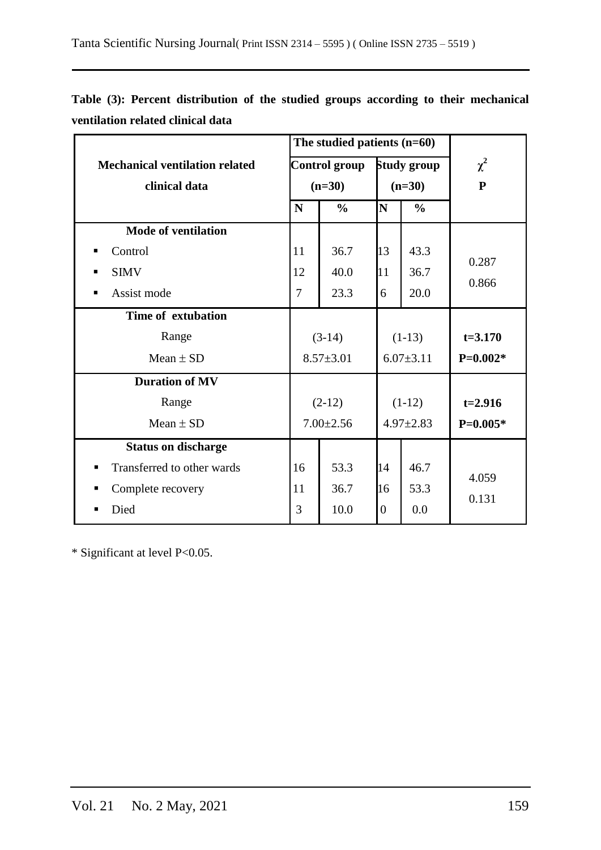|                                       |                | The studied patients $(n=60)$ |                |                    |             |
|---------------------------------------|----------------|-------------------------------|----------------|--------------------|-------------|
| <b>Mechanical ventilation related</b> |                | <b>Control group</b>          |                | <b>Study group</b> | $\chi^2$    |
| clinical data                         |                | $(n=30)$                      |                | $(n=30)$           | ${\bf P}$   |
|                                       | N              | $\frac{0}{0}$                 | N              | $\frac{0}{0}$      |             |
| <b>Mode of ventilation</b>            |                |                               |                |                    |             |
| Control<br>п                          | 11             | 36.7                          | 13             | 43.3               | 0.287       |
| <b>SIMV</b><br>п                      | 12             | 40.0                          | 11             | 36.7               |             |
| Assist mode<br>п                      | $\overline{7}$ | 23.3                          | 6              | 20.0               | 0.866       |
| Time of extubation                    |                |                               |                |                    |             |
| Range                                 |                | $(3-14)$                      |                | $(1-13)$           | $t = 3.170$ |
| Mean $\pm$ SD                         |                | $8.57 \pm 3.01$               |                | $6.07 \pm 3.11$    | $P=0.002*$  |
| <b>Duration of MV</b>                 |                |                               |                |                    |             |
| Range                                 |                | $(2-12)$                      |                | $(1-12)$           | $t=2.916$   |
| Mean $\pm$ SD                         |                | $7.00 \pm 2.56$               |                | $4.97 \pm 2.83$    | $P=0.005*$  |
| <b>Status on discharge</b>            |                |                               |                |                    |             |
| Transferred to other wards            | 16             | 53.3                          | 14             | 46.7               | 4.059       |
| Complete recovery<br>п                | 11             | 36.7                          | 16             | 53.3               | 0.131       |
| Died                                  | 3              | 10.0                          | $\overline{0}$ | 0.0                |             |

**Table (3): Percent distribution of the studied groups according to their mechanical ventilation related clinical data**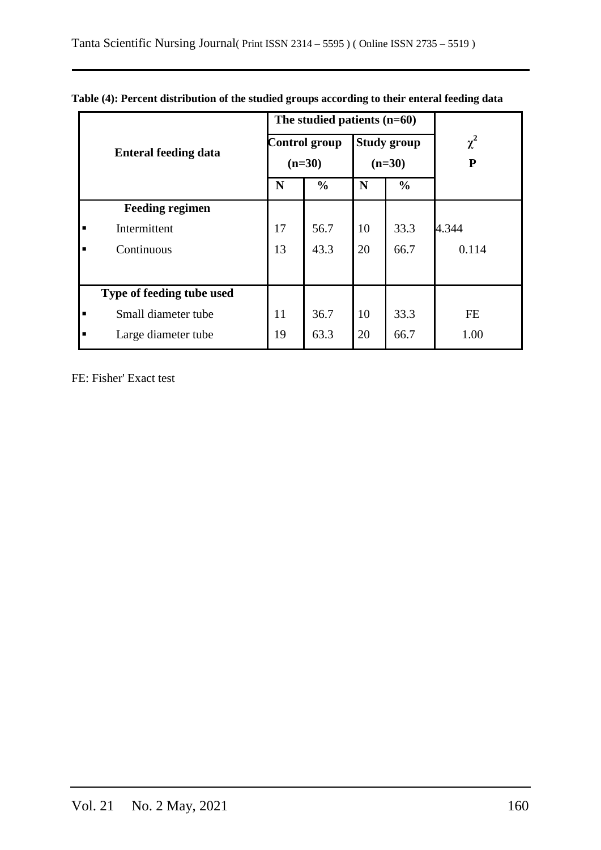|                |                             |    | The studied patients (n=60) |    |                    |           |
|----------------|-----------------------------|----|-----------------------------|----|--------------------|-----------|
|                | <b>Enteral feeding data</b> |    | <b>Control group</b>        |    | <b>Study group</b> | $\chi^2$  |
|                |                             |    | $(n=30)$                    |    | $(n=30)$           | ${\bf P}$ |
|                |                             | N  | $\frac{0}{0}$               | N  | $\frac{0}{0}$      |           |
|                | <b>Feeding regimen</b>      |    |                             |    |                    |           |
| п              | Intermittent                | 17 | 56.7                        | 10 | 33.3               | 4.344     |
| $\blacksquare$ | Continuous                  | 13 | 43.3                        | 20 | 66.7               | 0.114     |
|                |                             |    |                             |    |                    |           |
|                | Type of feeding tube used   |    |                             |    |                    |           |
| $\blacksquare$ | Small diameter tube         | 11 | 36.7                        | 10 | 33.3               | <b>FE</b> |
| ٠              | Large diameter tube         | 19 | 63.3                        | 20 | 66.7               | 1.00      |

| Table (4): Percent distribution of the studied groups according to their enteral feeding data |  |  |  |
|-----------------------------------------------------------------------------------------------|--|--|--|
|                                                                                               |  |  |  |

FE: Fisher' Exact test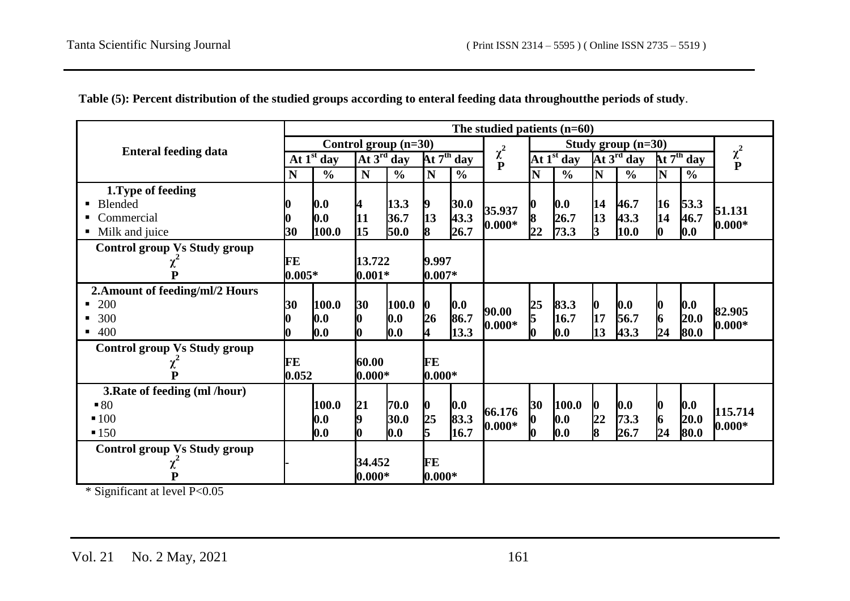|                                     |           |                            |                 |                     |                  |               | The studied patients $(n=60)$ |    |               |                 |                        |    |               |               |
|-------------------------------------|-----------|----------------------------|-----------------|---------------------|------------------|---------------|-------------------------------|----|---------------|-----------------|------------------------|----|---------------|---------------|
|                                     |           | Control group $(n=30)$     |                 |                     |                  |               |                               |    |               |                 | Study group $(n=30)$   |    |               |               |
| <b>Enteral feeding data</b>         |           | $\overline{At} 1^{st}$ day |                 | At $3^{\rm rd}$ day |                  | At $7th$ day  | $\chi^2$                      |    | At $1st$ day  |                 | At $3^{\text{rd}}$ day |    | At $7th$ day  | $\chi^2$<br>P |
|                                     | N         | $\frac{0}{0}$              | N               | $\frac{0}{0}$       | $\mathbf N$      | $\frac{0}{0}$ |                               | N  | $\frac{0}{0}$ | N               | $\frac{6}{6}$          | N  | $\frac{0}{0}$ |               |
| 1. Type of feeding                  |           |                            |                 |                     |                  |               |                               |    |               |                 |                        |    |               |               |
| Blended<br>п.                       |           | 0.0                        | 4               | 13.3                | 9                | 30.0          | 35.937                        |    | 0.0           | 14              | 46.7                   | 16 | 53.3          | 51.131        |
| Commercial                          |           | 0.0                        | 11              | 36.7                | 13               | 43.3          | $0.000*$                      | 8  | 26.7          | 13              | 43.3                   | 14 | 46.7          | $0.000*$      |
| Milk and juice<br>п.                | 30        | 100.0                      | 15              | 50.0                | 8                | 26.7          |                               | 22 | 73.3          | 3               | $\vert 10.0 \vert$     | 0  | 0.0           |               |
| <b>Control group Vs Study group</b> |           |                            |                 |                     |                  |               |                               |    |               |                 |                        |    |               |               |
| χ                                   | <b>FE</b> |                            | 9.997<br>13.722 |                     |                  |               |                               |    |               |                 |                        |    |               |               |
| P                                   | $0.005*$  |                            | $0.001*$        |                     | $0.007*$         |               |                               |    |               |                 |                        |    |               |               |
| 2. Amount of feeding/ml/2 Hours     |           |                            |                 |                     |                  |               |                               |    |               |                 |                        |    |               |               |
| 200                                 | 30        | 100.0                      | 30              | 100.0               | $\boldsymbol{0}$ | 0.0           | 90.00                         | 25 | 83.3          | $\bf{0}$        | 0.0                    | 0  | 0.0           | 82.905        |
| 300                                 |           | 0.0                        | $\bf{0}$        | 0.0                 | 26               | 86.7          | $0.000*$                      | 5  | 16.7          | 17              | 56.7                   | 6  | 20.0          | $0.000*$      |
| 400<br>٠                            |           | 0.0                        | <b>lo</b>       | 0.0                 | 4                | 13.3          |                               |    | 0.0           | 13              | 43.3                   | 24 | 80.0          |               |
| <b>Control group Vs Study group</b> |           |                            |                 |                     |                  |               |                               |    |               |                 |                        |    |               |               |
| χ                                   | FE        |                            | 60.00<br>FE     |                     |                  |               |                               |    |               |                 |                        |    |               |               |
| P                                   | 0.052     |                            | $0.000*$        |                     | $0.000*$         |               |                               |    |               |                 |                        |    |               |               |
| 3. Rate of feeding (ml /hour)       |           |                            |                 |                     |                  |               |                               |    |               |                 |                        |    |               |               |
| $-80$                               |           | 100.0                      | 21              | 70.0                | $\bf{0}$         | 0.0           | 66.176                        | 30 | 100.0         | $\bf{0}$        | 0.0                    | 0  | 0.0           | 115.714       |
| $-100$                              |           | 0.0                        | 9               | 30.0                | $rac{25}{5}$     | 83.3          | $0.000*$                      |    | 0.0           | $\overline{22}$ | 73.3                   | 6  | 20.0          | $0.000*$      |
| $-150$                              |           | 0.0                        | l0              | 0.0                 |                  | 16.7          |                               |    | 0.0           | 8               | 26.7                   | 24 | 80.0          |               |
| <b>Control group Vs Study group</b> |           |                            |                 |                     |                  |               |                               |    |               |                 |                        |    |               |               |
| χ                                   |           |                            |                 | 34.452              |                  | FE            |                               |    |               |                 |                        |    |               |               |
| ${\bf P}$                           |           |                            | $0.000*$        |                     | $0.000*$         |               |                               |    |               |                 |                        |    |               |               |

**Table (5): Percent distribution of the studied groups according to enteral feeding data throughoutthe periods of study**.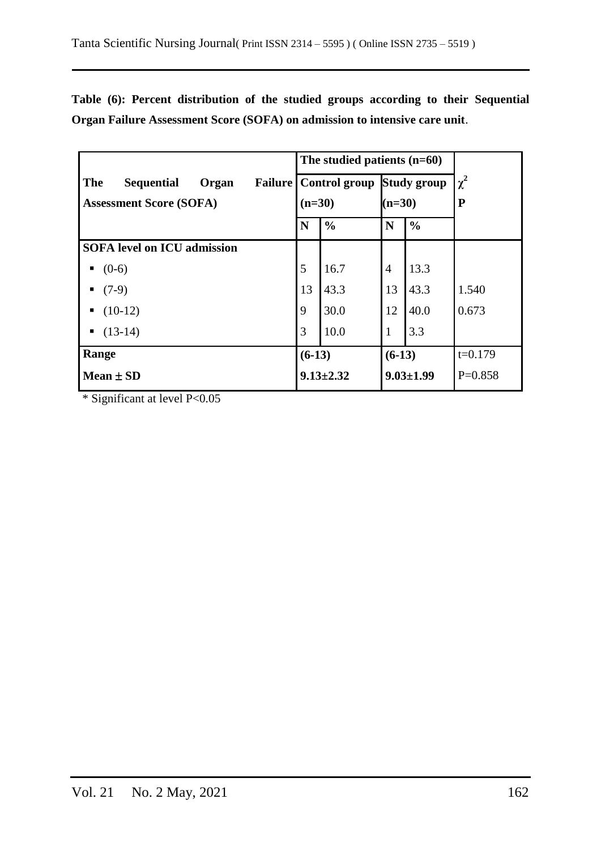**Table (6): Percent distribution of the studied groups according to their Sequential Organ Failure Assessment Score (SOFA) on admission to intensive care unit**.

|                                                            |                 | The studied patients $(n=60)$ |                    |                 |           |
|------------------------------------------------------------|-----------------|-------------------------------|--------------------|-----------------|-----------|
| <b>The</b><br><b>Sequential</b><br>Organ<br><b>Failure</b> |                 | Control group Study group     |                    |                 | $\chi^2$  |
| <b>Assessment Score (SOFA)</b>                             | $(n=30)$        |                               | $(n=30)$           |                 | ${\bf P}$ |
|                                                            | N               | $\frac{0}{0}$                 | $\frac{0}{0}$<br>N |                 |           |
| <b>SOFA</b> level on ICU admission                         |                 |                               |                    |                 |           |
| $(0-6)$                                                    | 5               | 16.7                          | $\overline{4}$     | 13.3            |           |
| $(7-9)$                                                    | 13              | 43.3                          | 13                 | 43.3            | 1.540     |
| $(10-12)$                                                  | 9               | 30.0                          | 12                 | 40.0            | 0.673     |
| $(13-14)$                                                  | 3               | 10.0                          | $\mathbf{1}$       | 3.3             |           |
| Range                                                      | $(6-13)$        |                               | $(6-13)$           |                 | $t=0.179$ |
| Mean $\pm$ SD                                              | $9.13 \pm 2.32$ |                               |                    | $9.03 \pm 1.99$ | $P=0.858$ |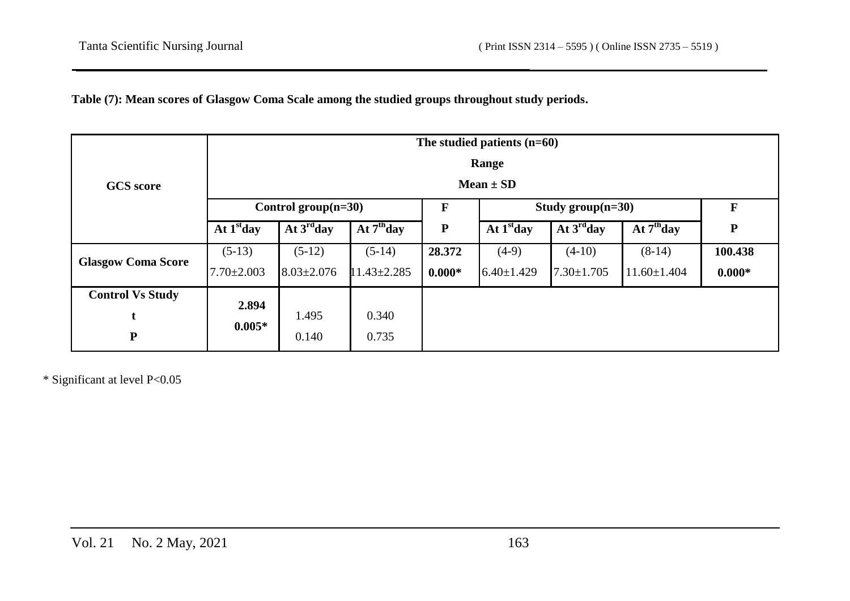# **Table (7): Mean scores of Glasgow Coma Scale among the studied groups throughout study periods.**

|                           |                  | The studied patients $(n=60)$ |                   |           |                  |                      |                   |           |  |  |  |  |  |  |  |
|---------------------------|------------------|-------------------------------|-------------------|-----------|------------------|----------------------|-------------------|-----------|--|--|--|--|--|--|--|
|                           |                  |                               |                   |           | Range            |                      |                   |           |  |  |  |  |  |  |  |
| <b>GCS</b> score          | Mean $\pm$ SD    |                               |                   |           |                  |                      |                   |           |  |  |  |  |  |  |  |
|                           |                  | Control group $(n=30)$        |                   | F         |                  | Study group $(n=30)$ | F                 |           |  |  |  |  |  |  |  |
|                           | At $1st$ day     | At $3^{\rm rd}$ day           | At $7th$ day      | ${\bf P}$ | At $1st$ day     | At $3^{\rm rd}$ day  | At $7th$ day      | ${\bf P}$ |  |  |  |  |  |  |  |
| <b>Glasgow Coma Score</b> | $(5-13)$         | $(5-12)$                      | $(5-14)$          | 28.372    | $(4-9)$          | $(4-10)$             | $(8-14)$          | 100.438   |  |  |  |  |  |  |  |
|                           | $7.70 \pm 2.003$ | $8.03 \pm 2.076$              | $11.43 \pm 2.285$ | $0.000*$  | $6.40 \pm 1.429$ | $7.30 \pm 1.705$     | $11.60 \pm 1.404$ | $0.000*$  |  |  |  |  |  |  |  |
| <b>Control Vs Study</b>   | 2.894            |                               |                   |           |                  |                      |                   |           |  |  |  |  |  |  |  |
| t                         | $0.005*$         | 1.495                         | 0.340             |           |                  |                      |                   |           |  |  |  |  |  |  |  |
| ${\bf P}$                 |                  | 0.140                         | 0.735             |           |                  |                      |                   |           |  |  |  |  |  |  |  |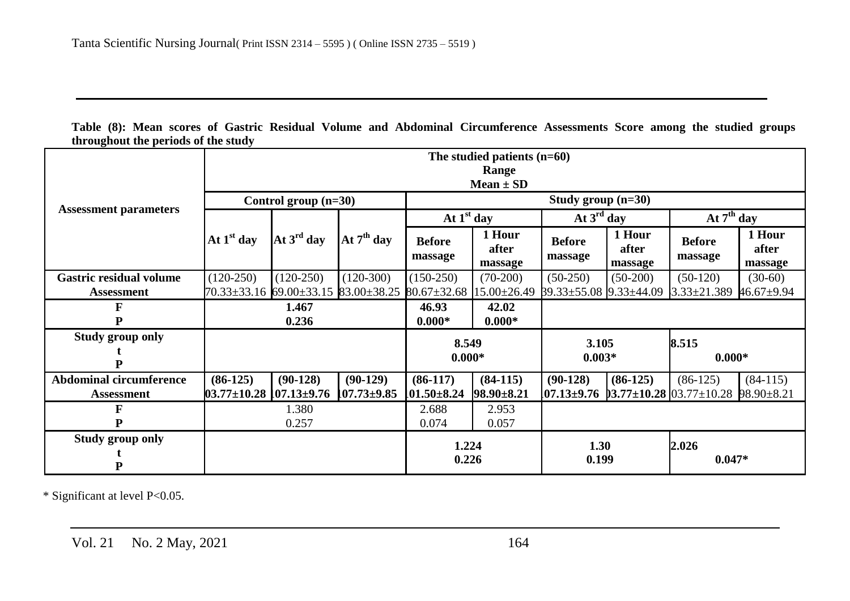**Table (8): Mean scores of Gastric Residual Volume and Abdominal Circumference Assessments Score among the studied groups throughout the periods of the study**

|                                |                                     |                        |                   |                                     | The studied patients $(n=60)$ |                          |                            |                                    |                            |  |  |  |  |
|--------------------------------|-------------------------------------|------------------------|-------------------|-------------------------------------|-------------------------------|--------------------------|----------------------------|------------------------------------|----------------------------|--|--|--|--|
|                                |                                     |                        |                   |                                     | Range                         |                          |                            |                                    |                            |  |  |  |  |
|                                |                                     |                        |                   |                                     | Mean $\pm$ SD                 |                          |                            |                                    |                            |  |  |  |  |
|                                |                                     | Control group $(n=30)$ |                   | Study group $(n=30)$                |                               |                          |                            |                                    |                            |  |  |  |  |
| <b>Assessment parameters</b>   |                                     | At $3^{\text{rd}}$ day | At $7th$ day      | At $1st$ day                        |                               | At $3^{\text{rd}}$ day   |                            | At $7th$ day                       |                            |  |  |  |  |
|                                | At $1st$ day                        |                        |                   | <b>Before</b><br>massage            | 1 Hour<br>after<br>massage    | <b>Before</b><br>massage | 1 Hour<br>after<br>massage | <b>Before</b><br>massage           | 1 Hour<br>after<br>massage |  |  |  |  |
| <b>Gastric residual volume</b> | $(120-250)$                         | $(120-250)$            | $(120-300)$       | $(150-250)$                         | $(70-200)$                    | $(50-250)$               | $(50-200)$                 | $(50-120)$                         | $(30-60)$                  |  |  |  |  |
| Assessment                     | $70.33 \pm 33.16$                   | $69.00 \pm 33.15$      | 83.00±38.25       | $80.67 \pm 32.68$ 15.00 $\pm 26.49$ |                               | 39.33±55.08 9.33±44.09   |                            | $3.33 \pm 21.389$                  | $46.67 \pm 9.94$           |  |  |  |  |
| F                              |                                     | 1.467                  |                   | 46.93                               | 42.02                         |                          |                            |                                    |                            |  |  |  |  |
| D                              | 0.236                               |                        |                   | $0.000*$                            | $0.000*$                      |                          |                            |                                    |                            |  |  |  |  |
| <b>Study group only</b>        |                                     |                        |                   | 8.549                               |                               | 3.105                    |                            | 8.515                              |                            |  |  |  |  |
|                                |                                     |                        |                   | $0.000*$                            |                               | $0.003*$                 |                            | $0.000*$                           |                            |  |  |  |  |
|                                |                                     |                        |                   |                                     |                               |                          |                            |                                    |                            |  |  |  |  |
| <b>Abdominal circumference</b> | $(86-125)$                          | $(90-128)$             | $(90-129)$        | $(86-117)$                          | $(84-115)$                    | $(90-128)$               | $(86-125)$                 | $(86-125)$                         | $(84-115)$                 |  |  |  |  |
| <b>Assessment</b>              | $03.77 \pm 10.28$ $107.13 \pm 9.76$ |                        | $107.73 \pm 9.85$ | $101.50 \pm 8.24$                   | $98.90 \pm 8.21$              | $07.13 \pm 9.76$         |                            | $3.77 \pm 10.28$ 03.77 $\pm 10.28$ | 98.90±8.21                 |  |  |  |  |
| F                              |                                     | 1.380                  |                   | 2.688                               | 2.953                         |                          |                            |                                    |                            |  |  |  |  |
| P                              |                                     | 0.257                  |                   | 0.074                               | 0.057                         |                          |                            |                                    |                            |  |  |  |  |
| <b>Study group only</b>        |                                     |                        |                   | 1.224                               |                               | 1.30                     |                            | 2.026                              |                            |  |  |  |  |
|                                |                                     |                        |                   | 0.226                               |                               | 0.199                    |                            | $0.047*$                           |                            |  |  |  |  |
|                                |                                     |                        |                   |                                     |                               |                          |                            |                                    |                            |  |  |  |  |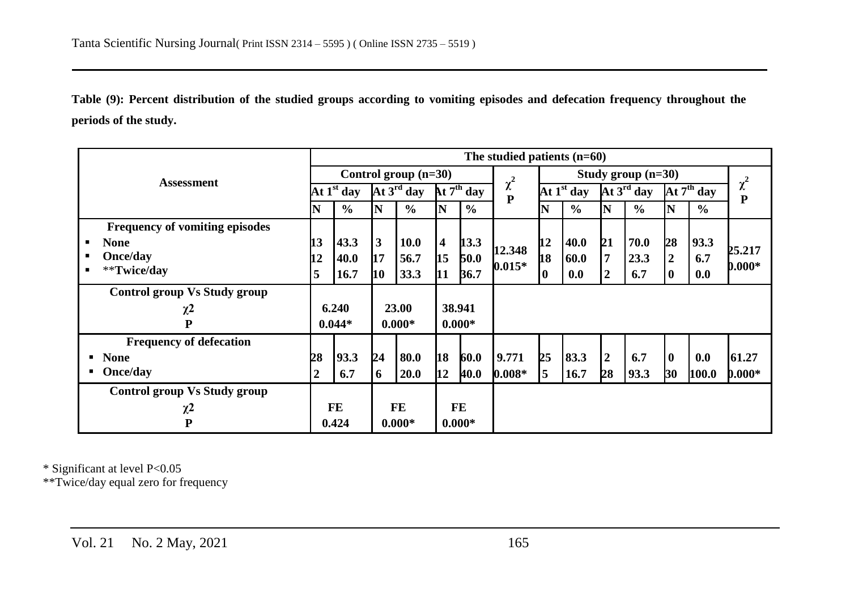**Table (9): Percent distribution of the studied groups according to vomiting episodes and defecation frequency throughout the periods of the study.**

|                                     |                |               |                 |                        |                         |                                              | The studied patients $(n=60)$ |                      |               |                        |               |                        |               |               |
|-------------------------------------|----------------|---------------|-----------------|------------------------|-------------------------|----------------------------------------------|-------------------------------|----------------------|---------------|------------------------|---------------|------------------------|---------------|---------------|
|                                     |                |               |                 | Control group $(n=30)$ |                         |                                              |                               | Study group $(n=30)$ |               |                        |               |                        |               |               |
| <b>Assessment</b>                   |                | At $1st$ day  |                 | At 3 <sup>rd</sup> day |                         | $\overline{\mathbf{A}t}$ $7^{\text{th}}$ day | $\chi^2$<br>$\overline{P}$    | At $1st$ day         |               | At $3^{\text{rd}}$ day |               | At $7^{\text{th}}$ day |               | $\chi^2$<br>P |
|                                     | N              | $\frac{6}{6}$ | N               | $\frac{6}{6}$          | N                       | $\frac{6}{6}$                                |                               | N                    | $\frac{0}{0}$ | N                      | $\frac{6}{6}$ | N                      | $\frac{6}{9}$ |               |
| Frequency of vomiting episodes      |                |               |                 |                        |                         |                                              |                               |                      |               |                        |               |                        |               |               |
| <b>None</b><br>п.                   | 13             | 43.3          | $\vert 3 \vert$ | <b>10.0</b>            | $\overline{\mathbf{4}}$ | 13.3                                         | 12.348                        | 12                   | 40.0          | 21                     | 70.0          | 28                     | 93.3          | 25.217        |
| Once/day<br>п.                      | 12             | 40.0          | 17              | 56.7                   | 15                      | 50.0                                         | $0.015*$                      | <b>h8</b>            | 60.0          | $\overline{7}$         | 23.3          | $\boldsymbol{2}$       | 6.7           |               |
| **Twice/day<br>$\blacksquare$       | 5              | <b>16.7</b>   | <b>10</b>       | 33.3                   | 11                      | 36.7                                         |                               | 0                    | 0.0           | $\boldsymbol{2}$       | 6.7           | $\bf{0}$               | 0.0           | $0.000*$      |
| <b>Control group Vs Study group</b> |                |               |                 |                        |                         |                                              |                               |                      |               |                        |               |                        |               |               |
| $\chi^2$                            |                | 6.240         |                 | 23.00                  |                         | 38.941                                       |                               |                      |               |                        |               |                        |               |               |
| P                                   |                | $0.044*$      |                 | $0.000*$               | $0.000*$                |                                              |                               |                      |               |                        |               |                        |               |               |
| <b>Frequency of defecation</b>      |                |               |                 |                        |                         |                                              |                               |                      |               |                        |               |                        |               |               |
| <b>None</b><br>п.                   | 28             | 93.3          | 24              | 80.0                   | <b>18</b>               | 60.0                                         | 9.771                         | 25                   | 83.3          | $\boldsymbol{2}$       | 6.7           | $\mathbf{0}$           | 0.0           | 61.27         |
| Once/day                            | $\overline{2}$ | 6.7           | 6               | <b>20.0</b>            | 12                      | 40.0                                         | $0.008*$                      | $\overline{5}$       | 16.7          | 28                     | 93.3          | 30                     | 100.0         | $0.000*$      |
| <b>Control group Vs Study group</b> |                |               |                 |                        |                         |                                              |                               |                      |               |                        |               |                        |               |               |
| $\chi^2$                            |                | <b>FE</b>     |                 | FE                     |                         | <b>FE</b>                                    |                               |                      |               |                        |               |                        |               |               |
| P                                   |                | 0.424         |                 | $0.000*$               |                         | $0.000*$                                     |                               |                      |               |                        |               |                        |               |               |

\* Significant at level P<0.05

\*\*Twice/day equal zero for frequency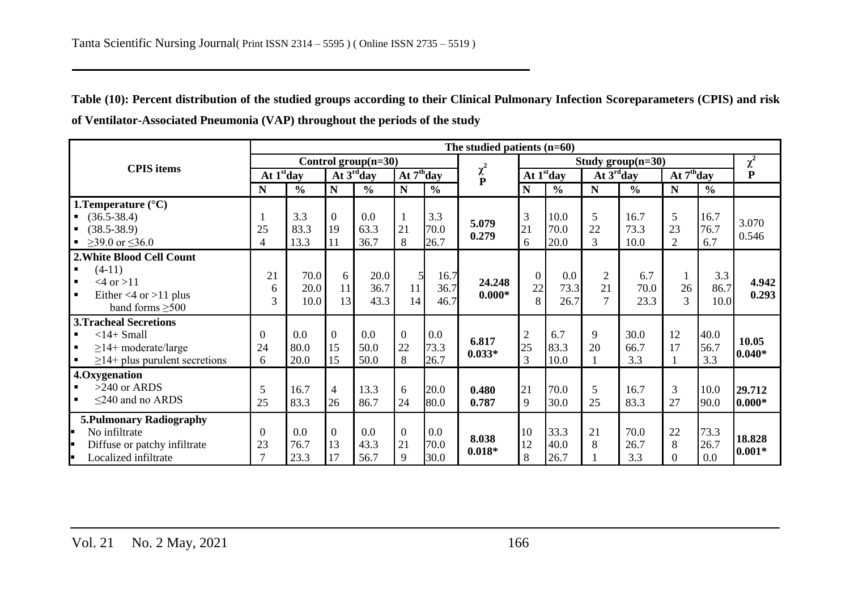**Table (10): Percent distribution of the studied groups according to their Clinical Pulmonary Infection Scoreparameters (CPIS) and risk of Ventilator-Associated Pneumonia (VAP) throughout the periods of the study**

|                                             | The studied patients $(n=60)$ |               |                  |                     |                |               |               |                  |                     |                                     |               |                |               |           |
|---------------------------------------------|-------------------------------|---------------|------------------|---------------------|----------------|---------------|---------------|------------------|---------------------|-------------------------------------|---------------|----------------|---------------|-----------|
| <b>CPIS</b> items                           | Control group $(n=30)$        |               |                  |                     |                |               |               |                  | $\overline{\chi}^2$ |                                     |               |                |               |           |
|                                             |                               | At $1st$ day  |                  | At $3^{\rm rd}$ day |                | At $7th$ day  | $\chi^2$<br>P | At $1st$ day     |                     | $\overline{At}$ 3 <sup>rd</sup> day |               | At $7th$ day   |               | ${\bf P}$ |
|                                             | N                             | $\frac{0}{0}$ | $\mathbf N$      | $\frac{0}{0}$       | $\mathbf N$    | $\frac{0}{0}$ |               | N                | $\frac{6}{6}$       | $\mathbf N$                         | $\frac{0}{0}$ | N              | $\frac{0}{0}$ |           |
| 1. Temperature $(^{\circ}C)$                |                               |               |                  |                     |                |               |               |                  |                     |                                     |               |                |               |           |
| $(36.5 - 38.4)$                             |                               | 3.3           | $\boldsymbol{0}$ | 0.0                 |                | 3.3           | 5.079         | 3                | 10.0                | 5                                   | 16.7          | 5              | 16.7          | 3.070     |
| $(38.5 - 38.9)$                             | 25                            | 83.3          | 19               | 63.3                | 21             | 70.0          | 0.279         | 21               | 70.0                | 22                                  | 73.3          | 23             | 76.7          | 0.546     |
| $≥$ 39.0 or ≤36.0                           | 4                             | 13.3          | 11               | 36.7                | 8              | 26.7          |               | 6                | 20.0                | 3                                   | 10.0          | $\overline{2}$ | 6.7           |           |
| 2. White Blood Cell Count                   |                               |               |                  |                     |                |               |               |                  |                     |                                     |               |                |               |           |
| $(4-11)$<br>$\blacksquare$                  | 21                            | 70.0          | 6                | 20.0                | 5              | 16.7          |               | $\overline{0}$   | 0.0                 | $\overline{2}$                      | 6.7           |                | 3.3           |           |
| $<4$ or $>11$<br>$\blacksquare$             | 6                             | 20.0          | 11               | 36.7                | 11             | 36.7          | 24.248        | 22               | 73.3                | 21                                  | 70.0          | 26             | 86.7          | 4.942     |
| Either $<4$ or $>11$ plus<br>$\blacksquare$ | 3                             | 10.0          | 13               | 43.3                | 14             | 46.7          | $0.000*$      | 8                | 26.7                | $\overline{7}$                      | 23.3          | 3              | 10.0          | 0.293     |
| band forms $\geq 500$                       |                               |               |                  |                     |                |               |               |                  |                     |                                     |               |                |               |           |
| <b>3.Tracheal Secretions</b>                |                               |               |                  |                     |                |               |               |                  |                     |                                     |               |                |               |           |
| $<$ 14+ Small<br>$\blacksquare$             | $\theta$                      | 0.0           | $\overline{0}$   | 0.0                 | $\overline{0}$ | 0.0           | 6.817         | $\boldsymbol{2}$ | 6.7                 | 9                                   | 30.0          | 12             | 40.0          | 10.05     |
| $\geq$ 14+ moderate/large<br>$\blacksquare$ | 24                            | 80.0          | 15               | 50.0                | 22             | 73.3          | $0.033*$      | 25               | 83.3                | 20                                  | 66.7          | 17             | 56.7          | $0.040*$  |
| $\geq$ 14+ plus purulent secretions         | 6                             | 20.0          | 15               | 50.0                | 8              | 26.7          |               | $\overline{3}$   | 10.0                |                                     | 3.3           |                | 3.3           |           |
| 4.Oxygenation                               |                               |               |                  |                     |                |               |               |                  |                     |                                     |               |                |               |           |
| $>240$ or ARDS<br>$\blacksquare$            | 5                             | 16.7          | $\overline{4}$   | 13.3                | 6              | 20.0          | 0.480         | 21               | 70.0                | 5                                   | 16.7          | 3              | 10.0          | 29.712    |
| $\leq$ 240 and no ARDS                      | 25                            | 83.3          | 26               | 86.7                | 24             | 80.0          | 0.787         | 9                | 30.0                | 25                                  | 83.3          | 27             | 90.0          | $0.000*$  |
| <b>5. Pulmonary Radiography</b>             |                               |               |                  |                     |                |               |               |                  |                     |                                     |               |                |               |           |
| No infiltrate<br>l.                         | $\theta$                      | 0.0           | $\overline{0}$   | 0.0                 | $\overline{0}$ | 0.0           |               | 10               | 33.3                | 21                                  | 70.0          | 22             | 73.3          |           |
| Diffuse or patchy infiltrate<br>E           | 23                            | 76.7          | 13               | 43.3                | 21             | 70.0          | 8.038         | 12               | 40.0                | 8                                   | 26.7          | 8              | 26.7          | 18.828    |
| Localized infiltrate<br>l.                  | $\tau$                        | 23.3          | 17               | 56.7                | 9              | 30.0          | $0.018*$      | $\,8\,$          | 26.7                |                                     | 3.3           | $\theta$       | $0.0\,$       | $0.001*$  |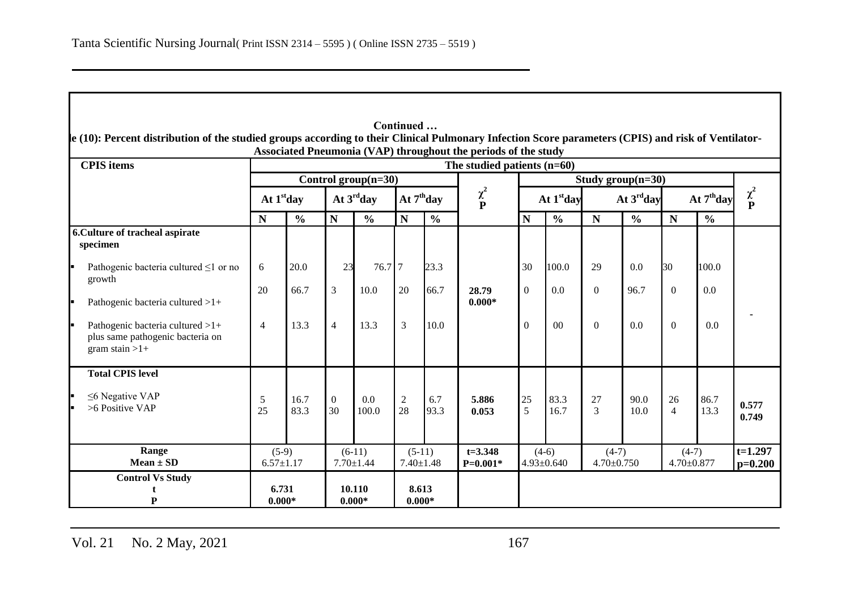|                                                                                          |                |                            |                        |                             |                        |                             | The studied patients $(n=60)$ |                        |                             |                     |                             |                        |                             |                |
|------------------------------------------------------------------------------------------|----------------|----------------------------|------------------------|-----------------------------|------------------------|-----------------------------|-------------------------------|------------------------|-----------------------------|---------------------|-----------------------------|------------------------|-----------------------------|----------------|
|                                                                                          |                | Control group $(n=30)$     |                        |                             |                        |                             |                               |                        | Study group $(n=30)$        |                     |                             |                        |                             |                |
|                                                                                          | At $1st$ day   |                            |                        | At $3^{\rm rd}$ day         |                        | At $7th$ day                | $\chi^2$<br>P                 | At 1 <sup>st</sup> day |                             | At $3^{\rm rd}$ day |                             | At 7 <sup>th</sup> day |                             | $\chi^2$<br>P  |
|                                                                                          | N              | $\frac{6}{6}$              | $\mathbf N$            | $\frac{0}{0}$               | $\mathbf N$            | $\frac{0}{0}$               |                               | N                      | $\frac{0}{0}$               | $\mathbf N$         | $\frac{6}{6}$               | $\mathbf N$            | $\frac{6}{6}$               |                |
| 6. Culture of tracheal aspirate<br>specimen                                              |                |                            |                        |                             |                        |                             |                               |                        |                             |                     |                             |                        |                             |                |
| Pathogenic bacteria cultured $\leq 1$ or no<br>growth                                    | 6              | 20.0                       | 23                     | 76.7 7                      |                        | 23.3                        |                               | 30                     | 100.0                       | 29                  | 0.0                         | 30                     | 100.0                       |                |
| Pathogenic bacteria cultured >1+                                                         | 20             | 66.7                       | $\overline{3}$         | 10.0                        | 20                     | 66.7                        | 28.79<br>$0.000*$             | $\overline{0}$         | 0.0                         | $\Omega$            | 96.7                        | $\Omega$               | 0.0                         |                |
| Pathogenic bacteria cultured >1+<br>plus same pathogenic bacteria on<br>gram stain $>1+$ | $\overline{4}$ | 13.3                       | $\overline{4}$         | 13.3                        | 3                      | 10.0                        |                               | $\overline{0}$         | $00\,$                      | $\theta$            | 0.0                         | $\Omega$               | 0.0                         |                |
| <b>Total CPIS level</b>                                                                  |                |                            |                        |                             |                        |                             |                               |                        |                             |                     |                             |                        |                             |                |
| $\leq$ Negative VAP<br>$>6$ Positive VAP                                                 | 5<br>25        | 16.7<br>83.3               | $\boldsymbol{0}$<br>30 | 0.0<br>100.0                | $\boldsymbol{2}$<br>28 | 6.7<br>93.3                 | 5.886<br>0.053                | 25<br>5                | 83.3<br>16.7                | 27<br>3             | 90.0<br>10.0                | 26<br>$\overline{4}$   | 86.7<br>13.3                | 0.577<br>0.749 |
| Range<br>$Mean \pm SD$                                                                   |                | $(5-9)$<br>$6.57 \pm 1.17$ |                        | $(6-11)$<br>$7.70 \pm 1.44$ |                        | $(5-11)$<br>$7.40 \pm 1.48$ | $t = 3.348$<br>$P=0.001*$     |                        | $(4-6)$<br>$4.93 \pm 0.640$ |                     | $(4-7)$<br>$4.70 \pm 0.750$ |                        | $(4-7)$<br>$4.70 \pm 0.877$ |                |

Vol. 21 No. 2 May, 2021 167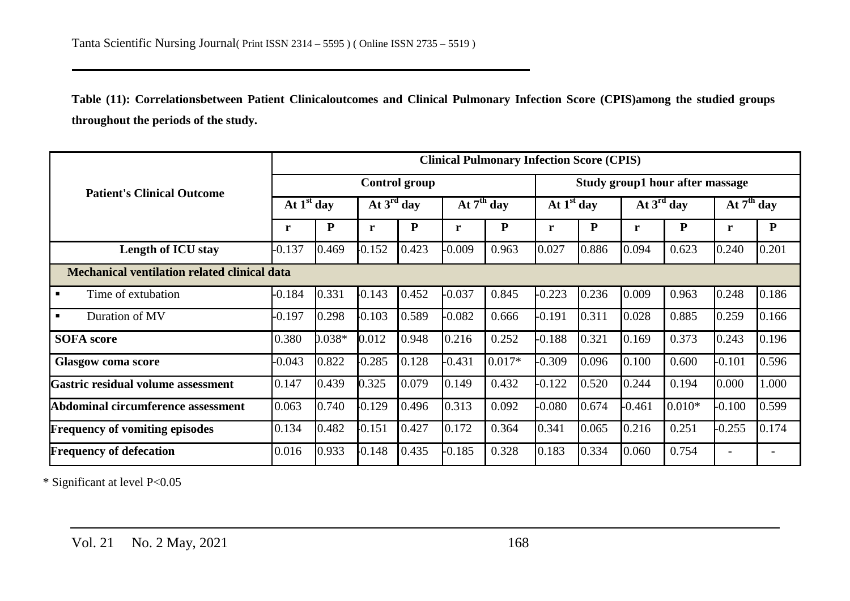**Table (11): Correlationsbetween Patient Clinicaloutcomes and Clinical Pulmonary Infection Score (CPIS)among the studied groups throughout the periods of the study.**

|                                                     |              | <b>Clinical Pulmonary Infection Score (CPIS)</b> |          |                        |          |              |                                 |              |          |                        |          |              |  |  |
|-----------------------------------------------------|--------------|--------------------------------------------------|----------|------------------------|----------|--------------|---------------------------------|--------------|----------|------------------------|----------|--------------|--|--|
| <b>Patient's Clinical Outcome</b>                   |              |                                                  |          | <b>Control group</b>   |          |              | Study group1 hour after massage |              |          |                        |          |              |  |  |
|                                                     | At $1st$ day |                                                  |          | At $3^{\text{rd}}$ day |          | At $7th$ day |                                 | At $1st$ day |          | At $3^{\text{rd}}$ day |          | At $7th$ day |  |  |
|                                                     | r            | ${\bf P}$                                        | r        | ${\bf P}$              | r        | ${\bf P}$    | r                               | ${\bf P}$    | r        | ${\bf P}$              | r        | ${\bf P}$    |  |  |
| <b>Length of ICU stay</b>                           | $-0.137$     | 0.469                                            | $-0.152$ | 0.423                  | $-0.009$ | 0.963        | 0.027                           | 0.886        | 0.094    | 0.623                  | 0.240    | 0.201        |  |  |
| <b>Mechanical ventilation related clinical data</b> |              |                                                  |          |                        |          |              |                                 |              |          |                        |          |              |  |  |
| Time of extubation                                  | $-0.184$     | 0.331                                            | $-0.143$ | 0.452                  | $-0.037$ | 0.845        | $-0.223$                        | 0.236        | 0.009    | 0.963                  | 0.248    | 0.186        |  |  |
| Duration of MV                                      | $-0.197$     | 0.298                                            | $-0.103$ | 0.589                  | $-0.082$ | 0.666        | $-0.191$                        | 0.311        | 0.028    | 0.885                  | 0.259    | 0.166        |  |  |
| <b>SOFA</b> score                                   | 0.380        | $0.038*$                                         | 0.012    | 0.948                  | 0.216    | 0.252        | $-0.188$                        | 0.321        | 0.169    | 0.373                  | 0.243    | 0.196        |  |  |
| <b>Glasgow coma score</b>                           | $-0.043$     | 0.822                                            | $-0.285$ | 0.128                  | $-0.431$ | $0.017*$     | $-0.309$                        | 0.096        | 0.100    | 0.600                  | $-0.101$ | 0.596        |  |  |
| Gastric residual volume assessment                  | 0.147        | 0.439                                            | 0.325    | 0.079                  | 0.149    | 0.432        | $-0.122$                        | 0.520        | 0.244    | 0.194                  | 0.000    | 000.1        |  |  |
| Abdominal circumference assessment                  | 0.063        | 0.740                                            | $-0.129$ | 0.496                  | 0.313    | 0.092        | $-0.080$                        | 0.674        | $-0.461$ | $0.010*$               | $-0.100$ | 0.599        |  |  |
| <b>Frequency of vomiting episodes</b>               | 0.134        | 0.482                                            | $-0.151$ | 0.427                  | 0.172    | 0.364        | 0.341                           | 0.065        | 0.216    | 0.251                  | $-0.255$ | 0.174        |  |  |
| <b>Frequency of defecation</b>                      | 0.016        | 0.933                                            | $-0.148$ | 0.435                  | $-0.185$ | 0.328        | 0.183                           | 0.334        | 0.060    | 0.754                  |          |              |  |  |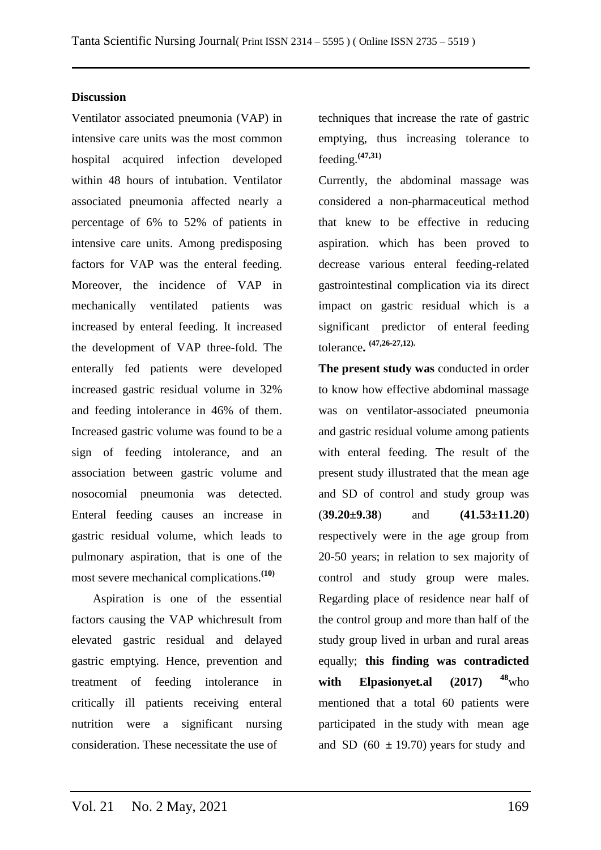### **Discussion**

Ventilator associated pneumonia (VAP) in intensive care units was the most common hospital acquired infection developed within 48 hours of intubation. Ventilator associated pneumonia affected nearly a percentage of 6% to 52% of patients in intensive care units. Among predisposing factors for VAP was the enteral feeding. Moreover, the incidence of VAP in mechanically ventilated patients was increased by enteral feeding. It increased the development of VAP three-fold. The enterally fed patients were developed increased gastric residual volume in 32% and feeding intolerance in 46% of them. Increased gastric volume was found to be a sign of feeding intolerance, and an association between gastric volume and nosocomial pneumonia was detected. Enteral feeding causes an increase in gastric residual volume, which leads to pulmonary aspiration, that is one of the most severe mechanical complications.**(10)**

 Aspiration is one of the essential factors causing the VAP whichresult from elevated gastric residual and delayed gastric emptying. Hence, prevention and treatment of feeding intolerance in critically ill patients receiving enteral nutrition were a significant nursing consideration. These necessitate the use of

techniques that increase the rate of gastric emptying, thus increasing tolerance to feeding.**(47,31)**

Currently, the abdominal massage was considered a non-pharmaceutical method that knew to be effective in reducing aspiration. which has been proved to decrease various enteral feeding-related gastrointestinal complication via its direct impact on gastric residual which is a significant predictor of enteral feeding tolerance**. (47,26-27,12).**

**The present study was** conducted in order to know how effective abdominal massage was on ventilator-associated pneumonia and gastric residual volume among patients with enteral feeding. The result of the present study illustrated that the mean age and SD of control and study group was (**39.20±9.38**) and **(41.53±11.20**) respectively were in the age group from 20-50 years; in relation to sex majority of control and study group were males. Regarding place of residence near half of the control group and more than half of the study group lived in urban and rural areas equally; **this finding was contradicted with Elpasionyet.al (2017) <sup>48</sup>**who mentioned that a total 60 patients were participated in the study with mean age and SD  $(60 \pm 19.70)$  years for study and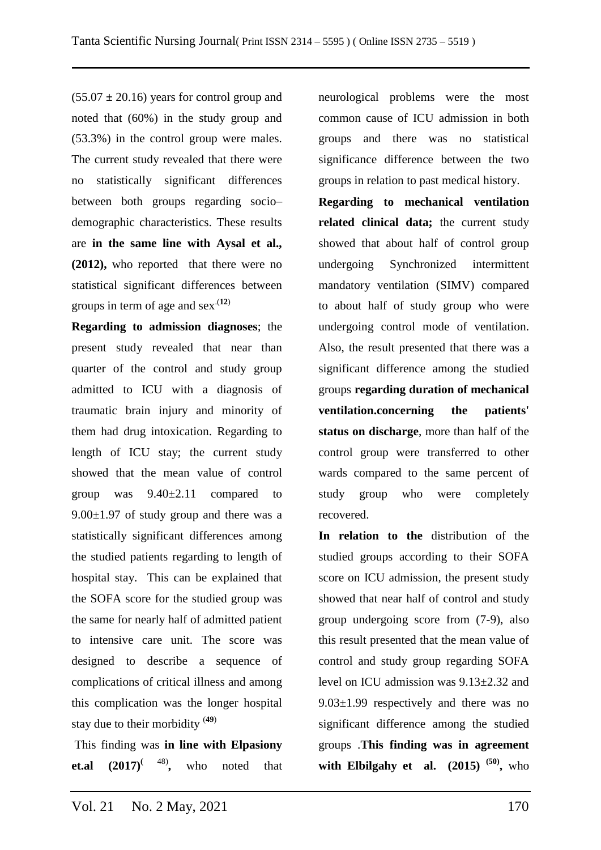$(55.07 \pm 20.16)$  years for control group and noted that (60%) in the study group and (53.3%) in the control group were males. The current study revealed that there were no statistically significant differences between both groups regarding socio– demographic characteristics. These results are **in the same line with Aysal et al., (2012),** who reported that there were no statistical significant differences between groups in term of age and  $sex(12)$ 

**Regarding to admission diagnoses**; the present study revealed that near than quarter of the control and study group admitted to ICU with a diagnosis of traumatic brain injury and minority of them had drug intoxication. Regarding to length of ICU stay; the current study showed that the mean value of control group was 9.40±2.11 compared to  $9.00\pm1.97$  of study group and there was a statistically significant differences among the studied patients regarding to length of hospital stay. This can be explained that the SOFA score for the studied group was the same for nearly half of admitted patient to intensive care unit. The score was designed to describe a sequence of complications of critical illness and among this complication was the longer hospital stay due to their morbidity (**49**)

This finding was **in line with Elpasiony**  et.al  $(2017)^{(48)}$ , **,** who noted that neurological problems were the most common cause of ICU admission in both groups and there was no statistical significance difference between the two groups in relation to past medical history.

**Regarding to mechanical ventilation related clinical data;** the current study showed that about half of control group undergoing Synchronized intermittent mandatory ventilation (SIMV) compared to about half of study group who were undergoing control mode of ventilation. Also, the result presented that there was a significant difference among the studied groups **regarding duration of mechanical ventilation.concerning the patients' status on discharge**, more than half of the control group were transferred to other wards compared to the same percent of study group who were completely recovered.

**In relation to the** distribution of the studied groups according to their SOFA score on ICU admission, the present study showed that near half of control and study group undergoing score from (7-9), also this result presented that the mean value of control and study group regarding SOFA level on ICU admission was 9.13±2.32 and 9.03±1.99 respectively and there was no significant difference among the studied groups .**This finding was in agreement with Elbilgahy et al.**  $(2015)^{(50)}$ **, who**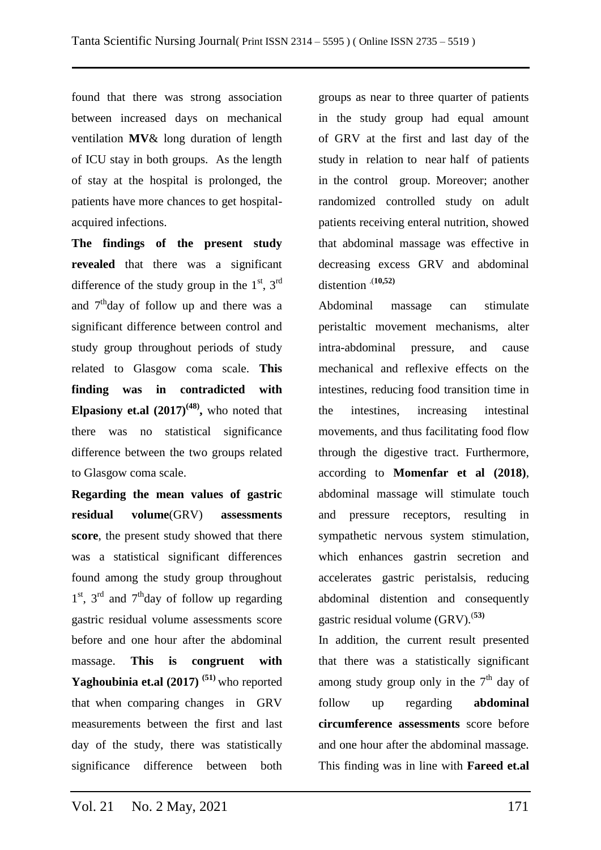found that there was strong association between increased days on mechanical ventilation **MV**& long duration of length of ICU stay in both groups. As the length of stay at the hospital is prolonged, the patients have more chances to get hospitalacquired infections.

**The findings of the present study revealed** that there was a significant difference of the study group in the  $1<sup>st</sup>$ ,  $3<sup>rd</sup>$ and  $7<sup>th</sup>$ day of follow up and there was a significant difference between control and study group throughout periods of study related to Glasgow coma scale. **This finding was in contradicted with Elpasiony et.al**  $(2017)^{(48)}$ , who noted that there was no statistical significance difference between the two groups related to Glasgow coma scale.

**Regarding the mean values of gastric residual volume**(GRV) **assessments score**, the present study showed that there was a statistical significant differences found among the study group throughout 1<sup>st</sup>, 3<sup>rd</sup> and 7<sup>th</sup>day of follow up regarding gastric residual volume assessments score before and one hour after the abdominal massage. **This is congruent with Yaghoubinia et.al (2017) (51)** who reported that when comparing changes in GRV measurements between the first and last day of the study, there was statistically significance difference between both

groups as near to three quarter of patients in the study group had equal amount of GRV at the first and last day of the study in relation to near half of patients in the control group. Moreover; another randomized controlled study on adult patients receiving enteral nutrition, showed that abdominal massage was effective in decreasing excess GRV and abdominal distention .(**10,52)**

Abdominal massage can stimulate peristaltic movement mechanisms, alter intra-abdominal pressure, and cause mechanical and reflexive effects on the intestines, reducing food transition time in the intestines, increasing intestinal movements, and thus facilitating food flow through the digestive tract. Furthermore, according to **Momenfar et al (2018)**, abdominal massage will stimulate touch and pressure receptors, resulting in sympathetic nervous system stimulation, which enhances gastrin secretion and accelerates gastric peristalsis, reducing abdominal distention and consequently gastric residual volume (GRV).(**53)**

In addition, the current result presented that there was a statistically significant among study group only in the  $7<sup>th</sup>$  day of follow up regarding **abdominal circumference assessments** score before and one hour after the abdominal massage. This finding was in line with **Fareed et.al**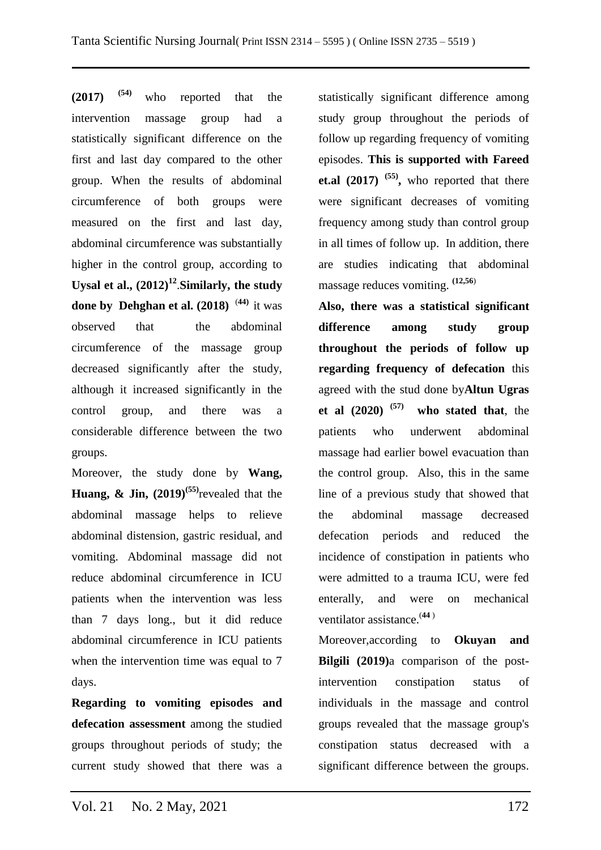**(2017) (54)** who reported that the intervention massage group had a statistically significant difference on the first and last day compared to the other group. When the results of abdominal circumference of both groups were measured on the first and last day, abdominal circumference was substantially higher in the control group, according to **Uysal et al., (2012)<sup>12</sup>** .**Similarly, the study done by [Dehghan et](https://journals.sagepub.com/doi/full/10.1177/2377960820963772) al. (2018)** (**44)** it was observed that the abdominal circumference of the massage group decreased significantly after the study, although it increased significantly in the control group, and there was a considerable difference between the two groups.

Moreover, the study done by **Wang, Huang, & Jin, (2019)(55)**revealed that the abdominal massage helps to relieve abdominal distension, gastric residual, and vomiting. Abdominal massage did not reduce abdominal circumference in ICU patients when the intervention was less than 7 days long., but it did reduce abdominal circumference in ICU patients when the intervention time was equal to 7 days.

**Regarding to vomiting episodes and defecation assessment** among the studied groups throughout periods of study; the current study showed that there was a

statistically significant difference among study group throughout the periods of follow up regarding frequency of vomiting episodes. **This is supported with Fareed et.al (2017) (55) ,** who reported that there were significant decreases of vomiting frequency among study than control group in all times of follow up. In addition, there are studies indicating that abdominal massage reduces vomiting. **(12,56**)

**Also, there was a statistical significant difference among study group throughout the periods of follow up regarding frequency of defecation** this agreed with the stud done by**Altun Ugras et al (2020) (57) who stated that**, the patients who underwent abdominal massage had earlier bowel evacuation than the control group. Also, this in the same line of a previous study that showed that the abdominal massage decreased defecation periods and reduced the incidence of constipation in patients who were admitted to a trauma ICU, were fed enterally, and were on mechanical ventilator assistance.(**[44](https://onlinelibrary.wiley.com/doi/full/10.1111/nicc.12575#nicc12575-bib-0013)** )

Moreover,according to **Okuyan and Bilgili (2019)**a comparison of the postintervention constipation status of individuals in the massage and control groups revealed that the massage group's constipation status decreased with a significant difference between the groups.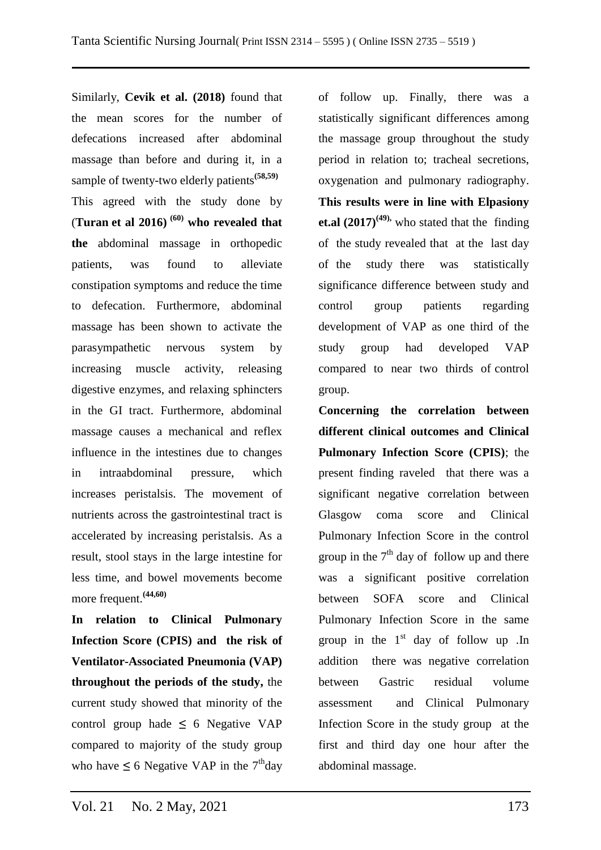Similarly, **Cevik et al. (2018)** found that the mean scores for the number of defecations increased after abdominal massage than before and during it, in a sample of twenty-two elderly patients**(58,59)** This agreed with the study done by (**Turan et al 2016) (60) who revealed that the** abdominal massage in orthopedic patients, was found to alleviate constipation symptoms and reduce the time to defecation. Furthermore, abdominal massage has been shown to activate the parasympathetic nervous system by increasing muscle activity, releasing digestive enzymes, and relaxing sphincters in the GI tract. Furthermore, abdominal massage causes a mechanical and reflex influence in the intestines due to changes in intraabdominal pressure, which increases peristalsis. The movement of nutrients across the gastrointestinal tract is accelerated by increasing peristalsis. As a result, stool stays in the large intestine for less time, and bowel movements become more frequent.**(44,60)**

**In relation to Clinical Pulmonary Infection Score (CPIS) and the risk of Ventilator-Associated Pneumonia (VAP) throughout the periods of the study,** the current study showed that minority of the control group hade  $\leq 6$  Negative VAP compared to majority of the study group who have  $\leq 6$  Negative VAP in the 7<sup>th</sup>day of follow up. Finally, there was a statistically significant differences among the massage group throughout the study period in relation to; tracheal secretions, oxygenation and pulmonary radiography. **This results were in line with Elpasiony et.al**  $(2017)^{(49)}$ , who stated that the finding of the study revealed that at the last day of the study there was statistically significance difference between study and control group patients regarding development of VAP as one third of the study group had developed VAP compared to near two thirds of control group.

**Concerning the correlation between different clinical outcomes and Clinical Pulmonary Infection Score (CPIS)**; the present finding raveled that there was a significant negative correlation between Glasgow coma score and Clinical Pulmonary Infection Score in the control group in the  $7<sup>th</sup>$  day of follow up and there was a significant positive correlation between SOFA score and Clinical Pulmonary Infection Score in the same group in the  $1<sup>st</sup>$  day of follow up .In addition there was negative correlation between Gastric residual volume assessment and Clinical Pulmonary Infection Score in the study group at the first and third day one hour after the abdominal massage.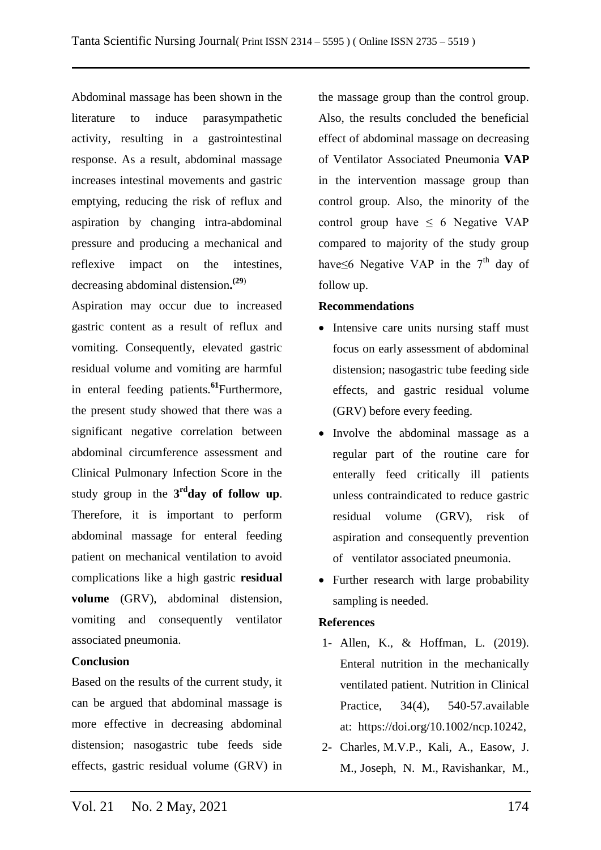Abdominal massage has been shown in the literature to induce parasympathetic activity, resulting in a gastrointestinal response. As a result, abdominal massage increases intestinal movements and gastric emptying, reducing the risk of reflux and aspiration by changing intra-abdominal pressure and producing a mechanical and reflexive impact on the intestines, decreasing abdominal distension**. (29**)

Aspiration may occur due to increased gastric content as a result of reflux and vomiting. Consequently, elevated gastric residual volume and vomiting are harmful in enteral feeding patients.**<sup>61</sup>**Furthermore, the present study showed that there was a significant negative correlation between abdominal circumference assessment and Clinical Pulmonary Infection Score in the study group in the **3 rdday of follow up**. Therefore, it is important to perform abdominal massage for enteral feeding patient on mechanical ventilation to avoid complications like a high gastric **residual volume** (GRV), abdominal distension, vomiting and consequently ventilator associated pneumonia.

### **Conclusion**

Based on the results of the current study, it can be argued that abdominal massage is more effective in decreasing abdominal distension; nasogastric tube feeds side effects, gastric residual volume (GRV) in

the massage group than the control group. Also, the results concluded the beneficial effect of abdominal massage on decreasing of Ventilator Associated Pneumonia **VAP** in the intervention massage group than control group. Also, the minority of the control group have  $\leq 6$  Negative VAP compared to majority of the study group have≤6 Negative VAP in the  $7<sup>th</sup>$  day of follow up.

### **Recommendations**

- Intensive care units nursing staff must focus on early assessment of abdominal distension; nasogastric tube feeding side effects, and gastric residual volume (GRV) before every feeding.
- Involve the abdominal massage as a regular part of the routine care for enterally feed critically ill patients unless contraindicated to reduce gastric residual volume (GRV), risk of aspiration and consequently prevention of ventilator associated pneumonia.
- Further research with large probability sampling is needed.

### **References**

- 1- Allen, K., & Hoffman, L. (2019). Enteral nutrition in the mechanically ventilated patient. Nutrition in Clinical Practice, 34(4), 540-57.available at: [https://doi.org/10.1002/ncp.10242,](https://doi.org/10.1002/ncp.10242,2019)
- 2- Charles, M.V.P., Kali, A., Easow, J. M., Joseph, N. M., Ravishankar, M.,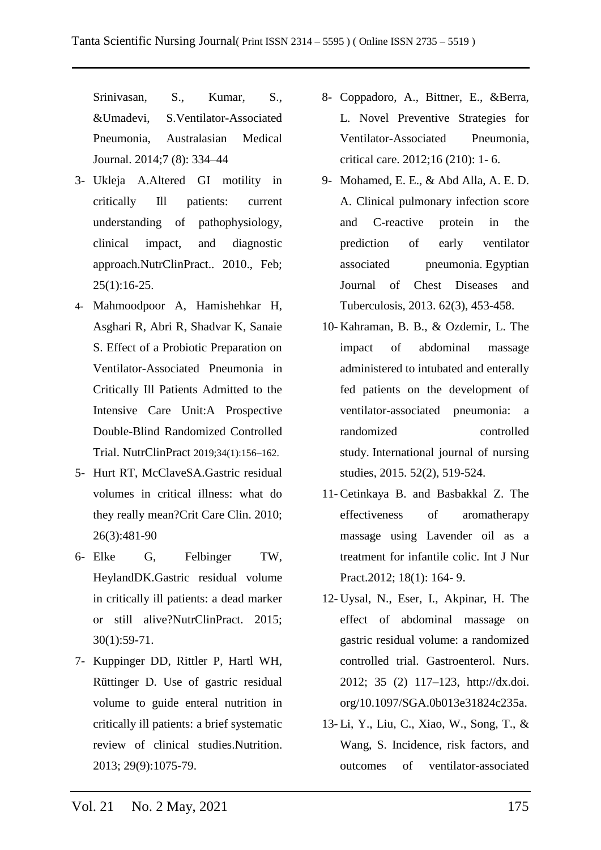Srinivasan, S., Kumar, S., &Umadevi, S.Ventilator-Associated Pneumonia, Australasian Medical Journal. 2014;7 (8): 334–44

- 3- Ukleja A.Altered GI motility in critically Ill patients: current understanding of pathophysiology, clinical impact, and diagnostic approach.NutrClinPract.. 2010., Feb;  $25(1):16-25.$
- 4- Mahmoodpoor A, Hamishehkar H, Asghari R, Abri R, Shadvar K, Sanaie S. Effect of a Probiotic Preparation on Ventilator-Associated Pneumonia in Critically Ill Patients Admitted to the Intensive Care Unit:A Prospective Double-Blind Randomized Controlled Trial. NutrClinPract 2019;34(1):156–162.
- 5- Hurt RT, McClaveSA.Gastric residual volumes in critical illness: what do they really mean?Crit Care Clin. 2010; 26(3):481-90
- 6- Elke G, Felbinger TW, HeylandDK.Gastric residual volume in critically ill patients: a dead marker or still alive?NutrClinPract. 2015; 30(1):59-71.
- 7- Kuppinger DD, Rittler P, Hartl WH, Rüttinger D. Use of gastric residual volume to guide enteral nutrition in critically ill patients: a brief systematic review of clinical studies.Nutrition. 2013; 29(9):1075-79.
- 8- Coppadoro, A., Bittner, E., &Berra, L. Novel Preventive Strategies for Ventilator-Associated Pneumonia, critical care. 2012;16 (210): 1- 6.
- 9- Mohamed, E. E., & Abd Alla, A. E. D. A. Clinical pulmonary infection score and C-reactive protein in the prediction of early ventilator associated pneumonia. Egyptian Journal of Chest Diseases and Tuberculosis, 2013. 62(3), 453-458.
- 10- Kahraman, B. B., & Ozdemir, L. The impact of abdominal massage administered to intubated and enterally fed patients on the development of ventilator-associated pneumonia: a randomized controlled study. International journal of nursing studies, 2015. 52(2), 519-524.
- 11- Cetinkaya B. and Basbakkal Z. The effectiveness of aromatherapy massage using Lavender oil as a treatment for infantile colic. Int J Nur Pract. 2012; 18(1): 164-9.
- 12- Uysal, N., Eser, I., Akpinar, H. The effect of abdominal massage on gastric residual volume: a randomized controlled trial. Gastroenterol. Nurs. 2012; 35 (2) 117–123, http://dx.doi. org/10.1097/SGA.0b013e31824c235a.
- 13- Li, Y., Liu, C., Xiao, W., Song, T., & Wang, S. Incidence, risk factors, and outcomes of ventilator-associated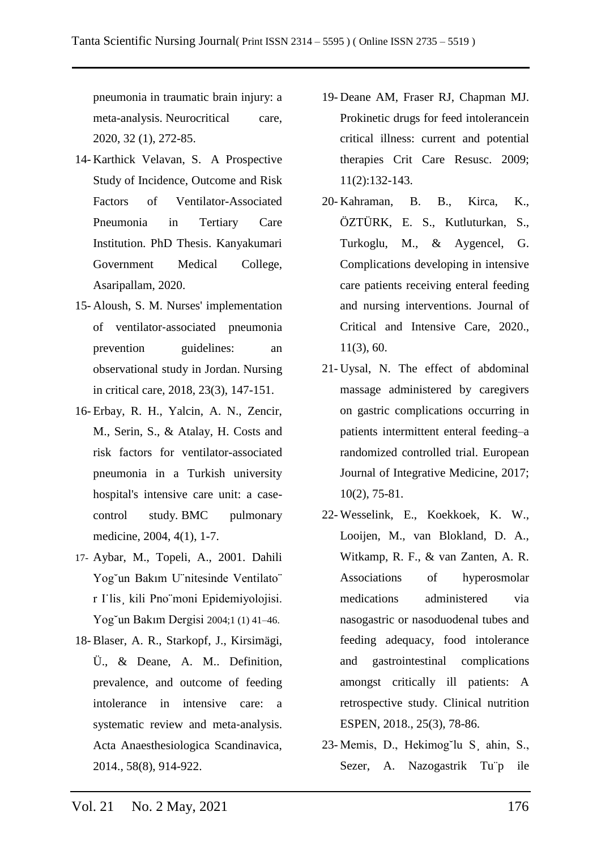pneumonia in traumatic brain injury: a meta-analysis. Neurocritical care, 2020, 32 (1), 272-85.

- 14- Karthick Velavan, S. A Prospective Study of Incidence, Outcome and Risk Factors of Ventilator-Associated Pneumonia in Tertiary Care Institution. PhD Thesis. Kanyakumari Government Medical College, Asaripallam, 2020.
- 15- Aloush, S. M. Nurses' implementation of ventilator‐associated pneumonia prevention guidelines: an observational study in Jordan. Nursing in critical care, 2018, 23(3), 147-151.
- 16- Erbay, R. H., Yalcin, A. N., Zencir, M., Serin, S., & Atalay, H. Costs and risk factors for ventilator-associated pneumonia in a Turkish university hospital's intensive care unit: a casecontrol study. BMC pulmonary medicine, 2004, 4(1), 1-7.
- 17- Aybar, M., Topeli, A., 2001. Dahili Yog˘un Bakım U¨nitesinde Ventilato¨ r I˙lis¸ kili Pno¨moni Epidemiyolojisi. Yog˘un Bakım Dergisi 2004;1 (1) 41–46.
- 18- Blaser, A. R., Starkopf, J., Kirsimägi, Ü., & Deane, A. M.. Definition, prevalence, and outcome of feeding intolerance in intensive care: a systematic review and meta‐analysis. Acta Anaesthesiologica Scandinavica, 2014., 58(8), 914-922.
- 19- Deane AM, Fraser RJ, Chapman MJ. Prokinetic drugs for feed intolerancein critical illness: current and potential therapies Crit Care Resusc. 2009; 11(2):132-143.
- 20- Kahraman, B. B., Kirca, K., ÖZTÜRK, E. S., Kutluturkan, S., Turkoglu, M., & Aygencel, G. Complications developing in intensive care patients receiving enteral feeding and nursing interventions. Journal of Critical and Intensive Care, 2020., 11(3), 60.
- 21- Uysal, N. The effect of abdominal massage administered by caregivers on gastric complications occurring in patients intermittent enteral feeding–a randomized controlled trial. European Journal of Integrative Medicine, 2017; 10(2), 75-81.
- 22- Wesselink, E., Koekkoek, K. W., Looijen, M., van Blokland, D. A., Witkamp, R. F., & van Zanten, A. R. Associations of hyperosmolar medications administered via nasogastric or nasoduodenal tubes and feeding adequacy, food intolerance and gastrointestinal complications amongst critically ill patients: A retrospective study. Clinical nutrition ESPEN, 2018., 25(3), 78-86.
- 23- Memis, D., Hekimog˘lu S¸ ahin, S., Sezer, A. Nazogastrik Tu¨p ile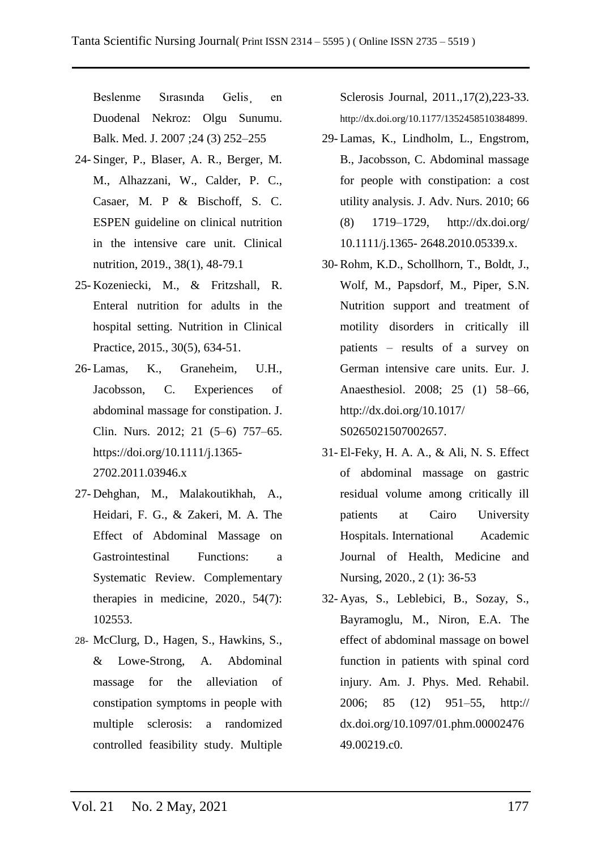Beslenme Sırasında Gelis en Duodenal Nekroz: Olgu Sunumu. Balk. Med. J. 2007 ;24 (3) 252–255

- 24- Singer, P., Blaser, A. R., Berger, M. M., Alhazzani, W., Calder, P. C., Casaer, M. P & Bischoff, S. C. ESPEN guideline on clinical nutrition in the intensive care unit. Clinical nutrition, 2019., 38(1), 48-79.1
- 25- Kozeniecki, M., & Fritzshall, R. Enteral nutrition for adults in the hospital setting. Nutrition in Clinical Practice, 2015., 30(5), 634-51.
- 26- Lamas, K., Graneheim, U.H., Jacobsson, C. Experiences of abdominal massage for constipation. J. Clin. Nurs. 2012; 21 (5–6) 757–65. [https://doi.org/10.1111/j.1365-](https://doi.org/10.1111/j.1365-2702.2011.03946.x) [2702.2011.03946.x](https://doi.org/10.1111/j.1365-2702.2011.03946.x)
- 27- Dehghan, M., Malakoutikhah, A., Heidari, F. G., & Zakeri, M. A. The Effect of Abdominal Massage on Gastrointestinal Functions: a Systematic Review. Complementary therapies in medicine, 2020., 54(7): 102553.
- 28- McClurg, D., Hagen, S., Hawkins, S., & Lowe-Strong, A. Abdominal massage for the alleviation of constipation symptoms in people with multiple sclerosis: a randomized controlled feasibility study. Multiple

Sclerosis Journal, 2011.,17(2),223-33. [http://dx.doi.org/10.1177/1352458510384899.](http://dx.doi.org/10.1177/1352458510384899)

- 29- Lamas, K., Lindholm, L., Engstrom, B., Jacobsson, C. Abdominal massage for people with constipation: a cost utility analysis. J. Adv. Nurs. 2010; 66 (8) 1719–1729, [http://dx.doi.org/](http://dx.doi.org/%2010.1111/j.1365-%202648.2010.05339.x)  10.1111/j.1365- [2648.2010.05339.x.](http://dx.doi.org/%2010.1111/j.1365-%202648.2010.05339.x)
- 30- Rohm, K.D., Schollhorn, T., Boldt, J., Wolf, M., Papsdorf, M., Piper, S.N. Nutrition support and treatment of motility disorders in critically ill patients – results of a survey on German intensive care units. Eur. J. Anaesthesiol. 2008; 25 (1) 58–66, http://dx.doi.org/10.1017/ S0265021507002657.
- 31- El-Feky, H. A. A., & Ali, N. S. Effect of abdominal massage on gastric residual volume among critically ill patients at Cairo University Hospitals. International Academic Journal of Health, Medicine and Nursing, 2020., 2 (1): 36-53
- 32- Ayas, S., Leblebici, B., Sozay, S., Bayramoglu, M., Niron, E.A. The effect of abdominal massage on bowel function in patients with spinal cord injury. Am. J. Phys. Med. Rehabil. 2006; 85 (12) 951–55, http:// dx.doi.org/10.1097/01.phm.00002476 49.00219.c0.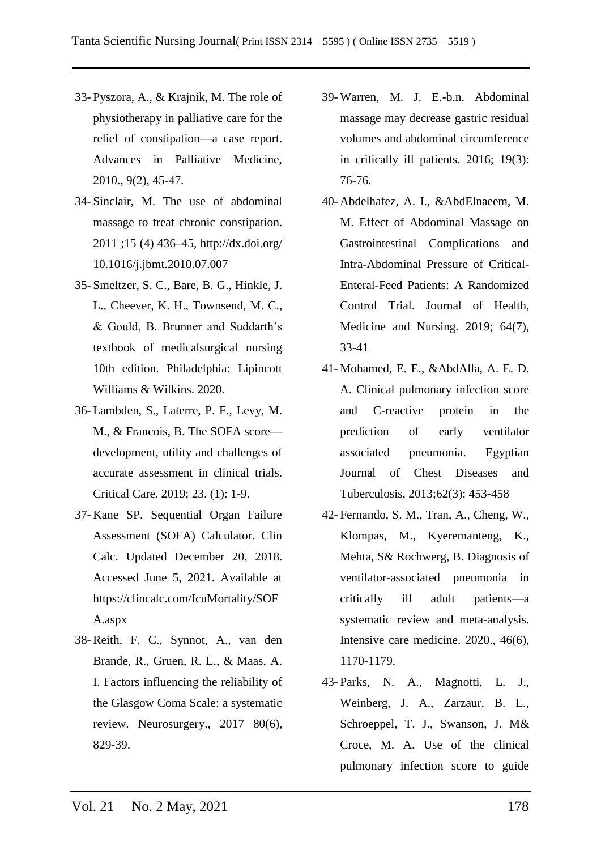- 33- Pyszora, A., & Krajnik, M. The role of physiotherapy in palliative care for the relief of constipation—a case report. Advances in Palliative Medicine, 2010., 9(2), 45-47.
- 34- Sinclair, M. The use of abdominal massage to treat chronic constipation. 2011 ;15 (4) 436–45, http://dx.doi.org/ 10.1016/j.jbmt.2010.07.007
- 35- Smeltzer, S. C., Bare, B. G., Hinkle, J. L., Cheever, K. H., Townsend, M. C., & Gould, B. Brunner and Suddarth's textbook of medicalsurgical nursing 10th edition. Philadelphia: Lipincott Williams & Wilkins. 2020.
- 36- Lambden, S., Laterre, P. F., Levy, M. M., & Francois, B. The SOFA score development, utility and challenges of accurate assessment in clinical trials. Critical Care. 2019; 23. (1): 1-9.
- 37- Kane SP. Sequential Organ Failure Assessment (SOFA) Calculator. Clin Calc. Updated December 20, 2018. Accessed June 5, 2021. Available at https://clincalc.com/IcuMortality/SOF A.aspx
- 38- Reith, F. C., Synnot, A., van den Brande, R., Gruen, R. L., & Maas, A. I. Factors influencing the reliability of the Glasgow Coma Scale: a systematic review. Neurosurgery., 2017 80(6), 829-39.
- 39- Warren, M. J. E.-b.n. Abdominal massage may decrease gastric residual volumes and abdominal circumference in critically ill patients. 2016; 19(3): 76-76.
- 40- Abdelhafez, A. I., &AbdElnaeem, M. M. Effect of Abdominal Massage on Gastrointestinal Complications and Intra-Abdominal Pressure of Critical-Enteral-Feed Patients: A Randomized Control Trial. Journal of Health, Medicine and Nursing. 2019; 64(7), 33-41
- 41- Mohamed, E. E., &AbdAlla, A. E. D. A. Clinical pulmonary infection score and C-reactive protein in the prediction of early ventilator associated pneumonia. Egyptian Journal of Chest Diseases and Tuberculosis, 2013;62(3): 453-458
- 42- Fernando, S. M., Tran, A., Cheng, W., Klompas, M., Kyeremanteng, K., Mehta, S& Rochwerg, B. Diagnosis of ventilator-associated pneumonia in critically ill adult patients—a systematic review and meta-analysis. Intensive care medicine. 2020., 46(6), 1170-1179.
- 43- Parks, N. A., Magnotti, L. J., Weinberg, J. A., Zarzaur, B. L., Schroeppel, T. J., Swanson, J. M& Croce, M. A. Use of the clinical pulmonary infection score to guide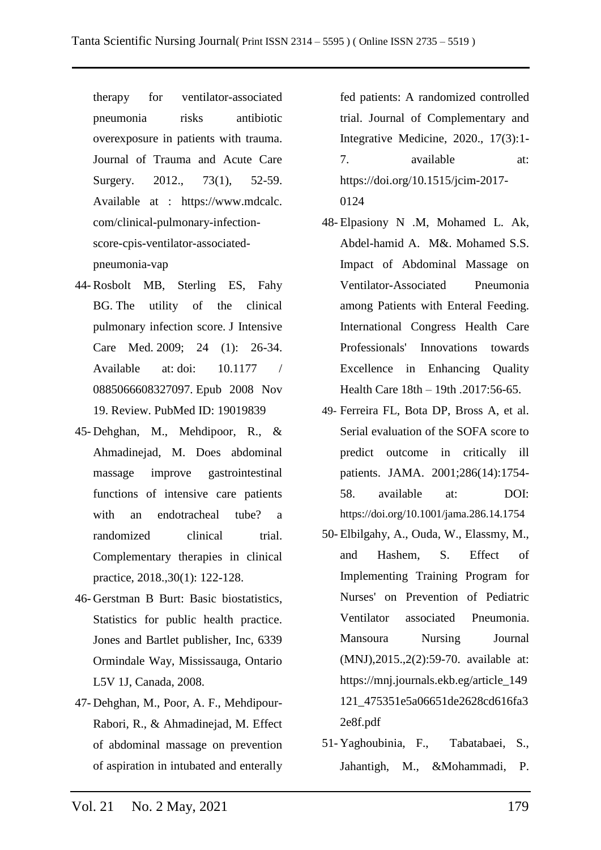therapy for ventilator-associated pneumonia risks antibiotic overexposure in patients with trauma. Journal of Trauma and Acute Care Surgery. 2012., 73(1), 52-59. Available at : https://www.mdcalc. com/clinical-pulmonary-infectionscore-cpis-ventilator-associatedpneumonia-vap

- 44- Rosbolt MB, Sterling ES, Fahy BG. The utility of the clinical pulmonary infection score. J Intensive Care Med. 2009; 24 (1): 26-34. Available at: doi: 10.1177 / 0885066608327097. Epub 2008 Nov 19. Review. PubMed ID: 19019839
- 45- Dehghan, M., Mehdipoor, R., & Ahmadinejad, M. Does abdominal massage improve gastrointestinal functions of intensive care patients with an endotracheal tube? a randomized clinical trial. Complementary therapies in clinical practice, 2018.,30(1): 122-128.
- 46- Gerstman B Burt: Basic biostatistics, Statistics for public health practice. Jones and Bartlet publisher, Inc, 6339 Ormindale Way, Mississauga, Ontario L5V 1J, Canada, 2008.
- 47- Dehghan, M., Poor, A. F., Mehdipour-Rabori, R., & Ahmadinejad, M. Effect of abdominal massage on prevention of aspiration in intubated and enterally

fed patients: A randomized controlled trial. Journal of Complementary and Integrative Medicine, 2020., 17(3):1- 7. available at: [https://doi.org/10.1515/j](https://doi.org/10.1515/)cim-2017- 0124

- 48- Elpasiony N .M, Mohamed L. Ak, Abdel-hamid A. M&. Mohamed S.S. Impact of Abdominal Massage on Ventilator-Associated Pneumonia among Patients with Enteral Feeding. International Congress Health Care Professionals' Innovations towards Excellence in Enhancing Quality Health Care 18th – 19th .2017:56-65.
- 49- Ferreira FL, Bota DP, Bross A, et al. Serial evaluation of the SOFA score to predict outcome in critically ill patients. JAMA. 2001;286(14):1754- 58. available at: DOI: https://doi.org/10.1001/jama.286.14.1754
- 50- Elbilgahy, A., Ouda, W., Elassmy, M., and Hashem, S. Effect of Implementing Training Program for Nurses' on Prevention of Pediatric Ventilator associated Pneumonia. Mansoura Nursing Journal (MNJ),2015.,2(2):59-70. available at: https://mnj.journals.ekb.eg/article\_149 121\_475351e5a06651de2628cd616fa3 2e8f.pdf
- 51- Yaghoubinia, F., Tabatabaei, S., Jahantigh, M., &Mohammadi, P.